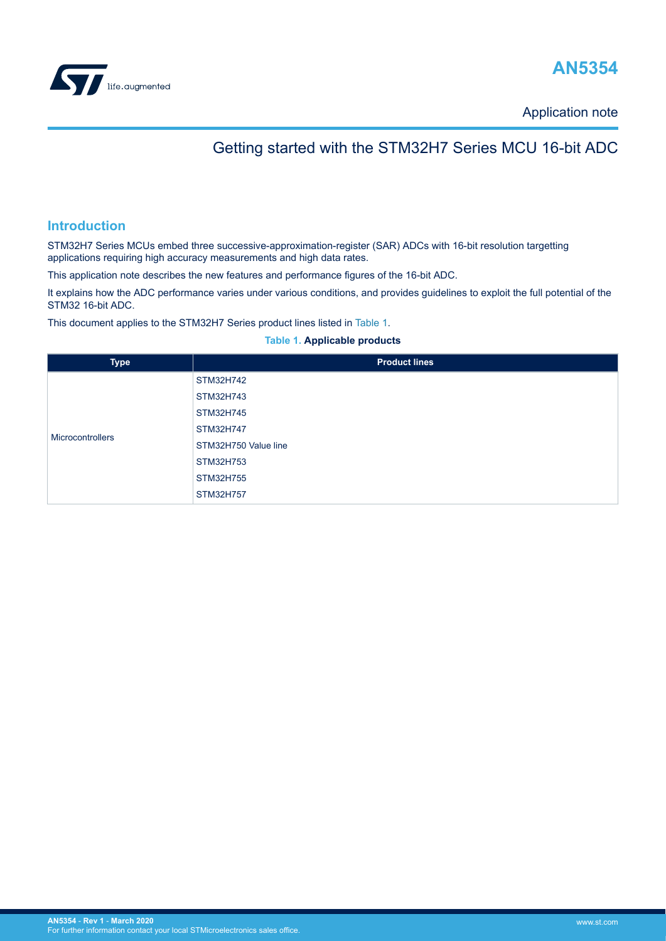<span id="page-0-0"></span>



Application note

## Getting started with the STM32H7 Series MCU 16-bit ADC

## **Introduction**

STM32H7 Series MCUs embed three successive-approximation-register (SAR) ADCs with 16-bit resolution targetting applications requiring high accuracy measurements and high data rates.

This application note describes the new features and performance figures of the 16-bit ADC.

It explains how the ADC performance varies under various conditions, and provides guidelines to exploit the full potential of the STM32 16-bit ADC.

This document applies to the STM32H7 Series product lines listed in Table 1.

#### **Table 1. Applicable products**

| <b>Type</b>      | <b>Product lines</b> |
|------------------|----------------------|
|                  | STM32H742            |
|                  | STM32H743            |
|                  | STM32H745            |
| Microcontrollers | STM32H747            |
|                  | STM32H750 Value line |
|                  | STM32H753            |
|                  | STM32H755            |
|                  | STM32H757            |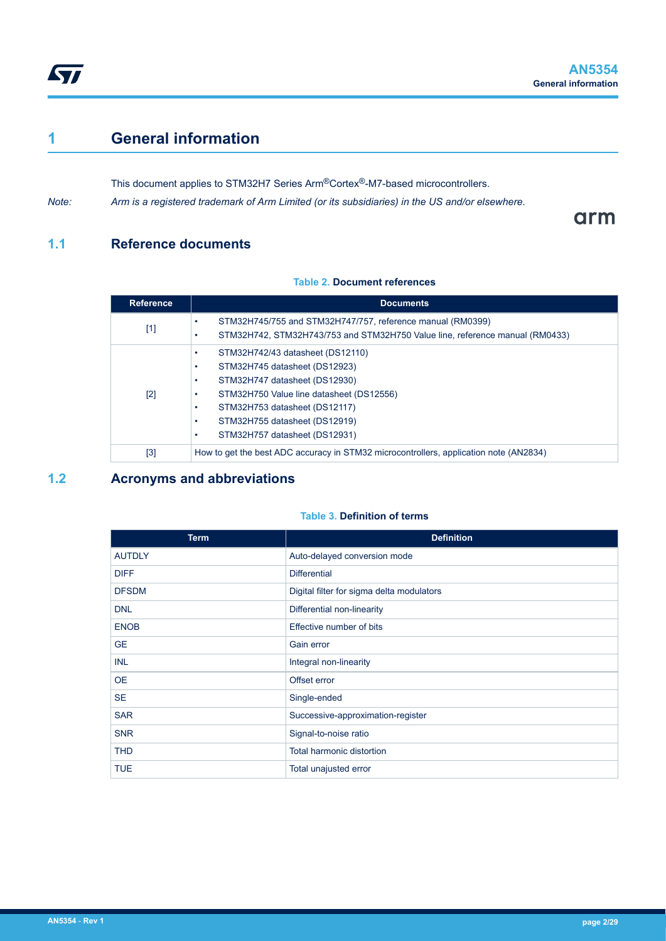## <span id="page-1-0"></span>**1 General information**

This document applies to STM32H7 Series Arm®Cortex®-M7-based microcontrollers.

*Note: Arm is a registered trademark of Arm Limited (or its subsidiaries) in the US and/or elsewhere.*

arm

## **1.1 Reference documents**

### **Table 2. Document references**

| <b>Reference</b> | <b>Documents</b>                                                                                                                                                                                                                                  |
|------------------|---------------------------------------------------------------------------------------------------------------------------------------------------------------------------------------------------------------------------------------------------|
| $[1]$            | STM32H745/755 and STM32H747/757, reference manual (RM0399)<br>STM32H742, STM32H743/753 and STM32H750 Value line, reference manual (RM0433)                                                                                                        |
| $[2]$            | STM32H742/43 datasheet (DS12110)<br>STM32H745 datasheet (DS12923)<br>STM32H747 datasheet (DS12930)<br>STM32H750 Value line datasheet (DS12556)<br>STM32H753 datasheet (DS12117)<br>STM32H755 datasheet (DS12919)<br>STM32H757 datasheet (DS12931) |
| [3]              | How to get the best ADC accuracy in STM32 microcontrollers, application note (AN2834)                                                                                                                                                             |

## **1.2 Acronyms and abbreviations**

### **Table 3. Definition of terms**

| <b>Term</b>   | <b>Definition</b>                         |
|---------------|-------------------------------------------|
| <b>AUTDLY</b> | Auto-delayed conversion mode              |
| <b>DIFF</b>   | <b>Differential</b>                       |
| <b>DFSDM</b>  | Digital filter for sigma delta modulators |
| <b>DNL</b>    | Differential non-linearity                |
| <b>ENOB</b>   | Effective number of bits                  |
| <b>GE</b>     | Gain error                                |
| <b>INL</b>    | Integral non-linearity                    |
| <b>OE</b>     | Offset error                              |
| <b>SE</b>     | Single-ended                              |
| <b>SAR</b>    | Successive-approximation-register         |
| <b>SNR</b>    | Signal-to-noise ratio                     |
| <b>THD</b>    | Total harmonic distortion                 |
| <b>TUE</b>    | Total unajusted error                     |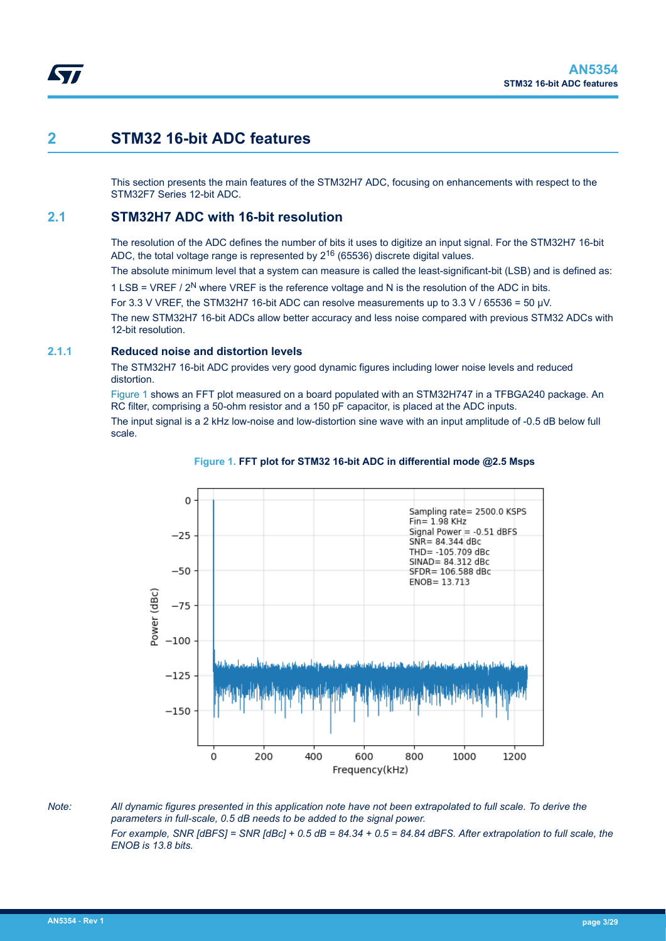## <span id="page-2-0"></span>**2 STM32 16-bit ADC features**

This section presents the main features of the STM32H7 ADC, focusing on enhancements with respect to the STM32F7 Series 12-bit ADC.

## **2.1 STM32H7 ADC with 16-bit resolution**

The resolution of the ADC defines the number of bits it uses to digitize an input signal. For the STM32H7 16-bit ADC, the total voltage range is represented by  $2^{16}$  (65536) discrete digital values.

The absolute minimum level that a system can measure is called the least-significant-bit (LSB) and is defined as:

1 LSB = VREF  $/$  2<sup>N</sup> where VREF is the reference voltage and N is the resolution of the ADC in bits.

For 3.3 V VREF, the STM32H7 16-bit ADC can resolve measurements up to 3.3 V / 65536 = 50 µV.

The new STM32H7 16-bit ADCs allow better accuracy and less noise compared with previous STM32 ADCs with 12-bit resolution.

### **2.1.1 Reduced noise and distortion levels**

The STM32H7 16-bit ADC provides very good dynamic figures including lower noise levels and reduced distortion.

Figure 1 shows an FFT plot measured on a board populated with an STM32H747 in a TFBGA240 package. An RC filter, comprising a 50-ohm resistor and a 150 pF capacitor, is placed at the ADC inputs.

The input signal is a 2 kHz low-noise and low-distortion sine wave with an input amplitude of -0.5 dB below full scale.



#### **Figure 1. FFT plot for STM32 16-bit ADC in differential mode @2.5 Msps**

*Note: All dynamic figures presented in this application note have not been extrapolated to full scale. To derive the parameters in full-scale, 0.5 dB needs to be added to the signal power. For example, SNR [dBFS] = SNR [dBc] + 0.5 dB = 84.34 + 0.5 = 84.84 dBFS. After extrapolation to full scale, the ENOB is 13.8 bits.*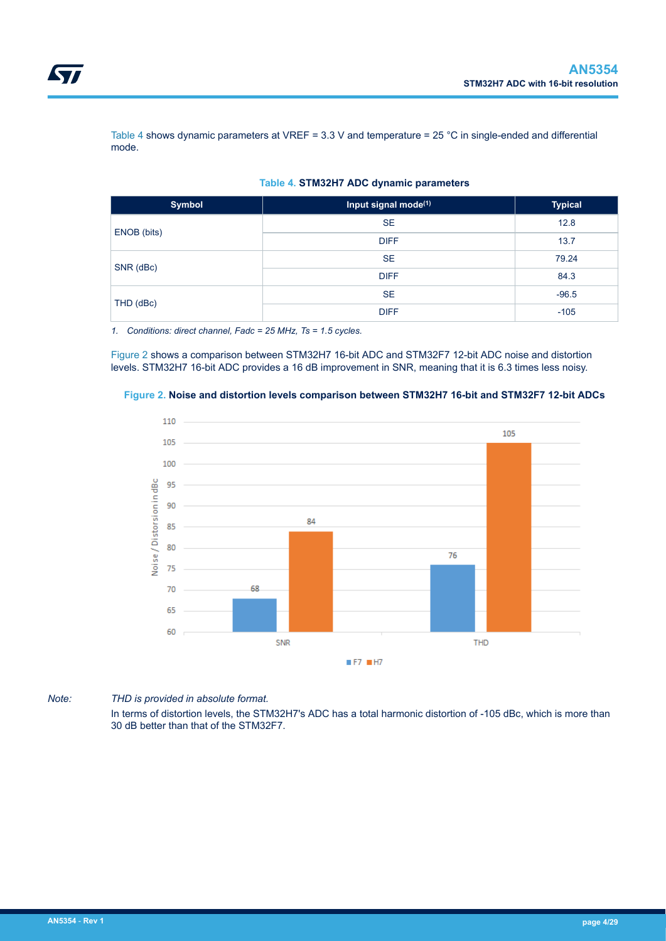<span id="page-3-0"></span>Table 4 shows dynamic parameters at VREF = 3.3 V and temperature = 25 °C in single-ended and differential mode.

| <b>Symbol</b> | Input signal mode <sup>(1)</sup> | <b>Typical</b> |  |
|---------------|----------------------------------|----------------|--|
|               | <b>SE</b>                        | 12.8           |  |
| ENOB (bits)   | <b>DIFF</b>                      | 13.7<br>79.24  |  |
|               | <b>SE</b>                        |                |  |
| SNR (dBc)     | <b>DIFF</b>                      | 84.3           |  |
|               | <b>SE</b>                        | $-96.5$        |  |
| THD (dBc)     | <b>DIFF</b>                      | $-105$         |  |

#### **Table 4. STM32H7 ADC dynamic parameters**

*1. Conditions: direct channel, Fadc = 25 MHz, Ts = 1.5 cycles.*

Figure 2 shows a comparison between STM32H7 16-bit ADC and STM32F7 12-bit ADC noise and distortion levels. STM32H7 16-bit ADC provides a 16 dB improvement in SNR, meaning that it is 6.3 times less noisy.





*Note: THD is provided in absolute format.*

In terms of distortion levels, the STM32H7's ADC has a total harmonic distortion of -105 dBc, which is more than 30 dB better than that of the STM32F7.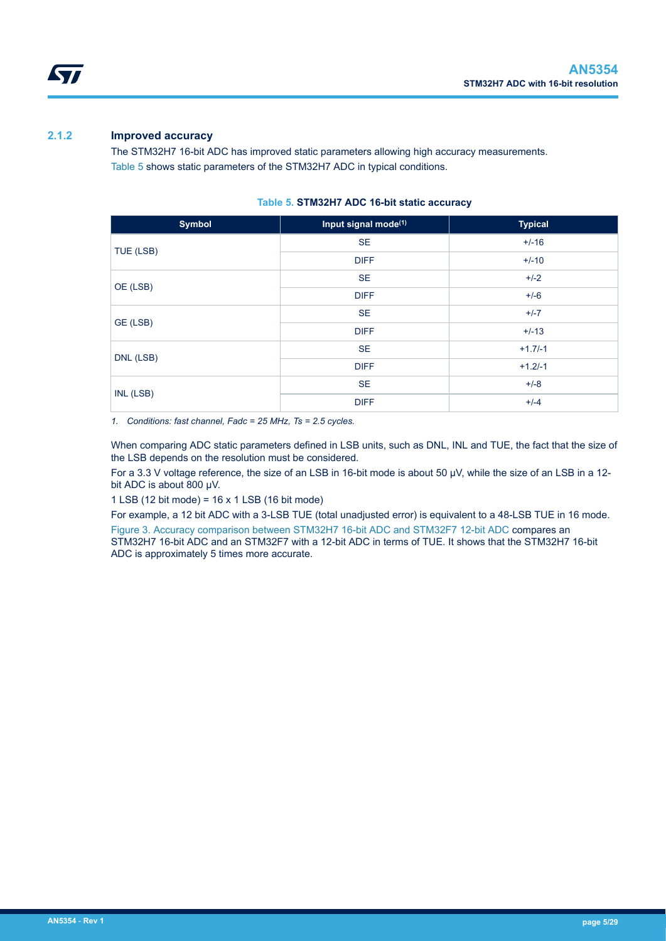<span id="page-4-0"></span>

## **2.1.2 Improved accuracy**

The STM32H7 16-bit ADC has improved static parameters allowing high accuracy measurements. Table 5 shows static parameters of the STM32H7 ADC in typical conditions.

| <b>Symbol</b> | Input signal mode <sup>(1)</sup> | <b>Typical</b> |
|---------------|----------------------------------|----------------|
|               | <b>SE</b>                        | $+/-16$        |
| TUE (LSB)     | <b>DIFF</b>                      | $+/-10$        |
| OE (LSB)      | <b>SE</b>                        | $+/-2$         |
|               | <b>DIFF</b>                      | $+/-6$         |
| GE (LSB)      | <b>SE</b>                        | $+/-7$         |
|               | <b>DIFF</b>                      | $+/-13$        |
|               | <b>SE</b>                        | $+1.7/-1$      |
| DNL (LSB)     | <b>DIFF</b>                      | $+1.2/-1$      |
| INL (LSB)     | <b>SE</b>                        | $+/-8$         |
|               | <b>DIFF</b>                      | $+/-4$         |

### **Table 5. STM32H7 ADC 16-bit static accuracy**

*1. Conditions: fast channel, Fadc = 25 MHz, Ts = 2.5 cycles.*

When comparing ADC static parameters defined in LSB units, such as DNL, INL and TUE, the fact that the size of the LSB depends on the resolution must be considered.

For a 3.3 V voltage reference, the size of an LSB in 16-bit mode is about 50 µV, while the size of an LSB in a 12bit ADC is about 800 µV.

1 LSB (12 bit mode) = 16 x 1 LSB (16 bit mode)

For example, a 12 bit ADC with a 3-LSB TUE (total unadjusted error) is equivalent to a 48-LSB TUE in 16 mode. [Figure 3. Accuracy comparison between STM32H7 16-bit ADC and STM32F7 12-bit ADC](#page-5-0) compares an STM32H7 16-bit ADC and an STM32F7 with a 12-bit ADC in terms of TUE. It shows that the STM32H7 16-bit ADC is approximately 5 times more accurate.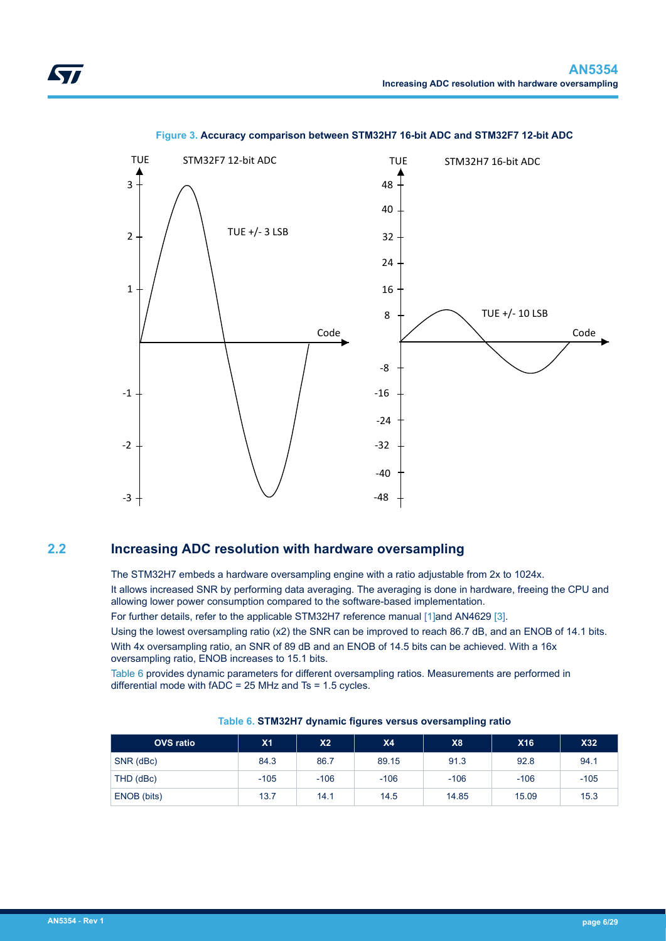<span id="page-5-0"></span>

### **Figure 3. Accuracy comparison between STM32H7 16-bit ADC and STM32F7 12-bit ADC**

## **2.2 Increasing ADC resolution with hardware oversampling**

The STM32H7 embeds a hardware oversampling engine with a ratio adjustable from 2x to 1024x. It allows increased SNR by performing data averaging. The averaging is done in hardware, freeing the CPU and allowing lower power consumption compared to the software-based implementation.

For further details, refer to the applicable STM32H7 reference manual [\[1\]](#page-1-0)and AN4629 [\[3\].](#page-1-0)

Using the lowest oversampling ratio (x2) the SNR can be improved to reach 86.7 dB, and an ENOB of 14.1 bits. With 4x oversampling ratio, an SNR of 89 dB and an ENOB of 14.5 bits can be achieved. With a 16x oversampling ratio, ENOB increases to 15.1 bits.

Table 6 provides dynamic parameters for different oversampling ratios. Measurements are performed in differential mode with fADC = 25 MHz and Ts = 1.5 cycles.

| <b>OVS</b> ratio | X <sub>1</sub> | X2     | <b>X4</b> | X <sub>8</sub> | <b>X16</b> | <b>X32</b> |
|------------------|----------------|--------|-----------|----------------|------------|------------|
| SNR (dBc)        | 84.3           | 86.7   | 89.15     | 91.3           | 92.8       | 94.1       |
| THD (dBc)        | $-105$         | $-106$ | $-106$    | $-106$         | $-106$     | $-105$     |
| ENOB (bits)      | 13.7           | 14.1   | 14.5      | 14.85          | 15.09      | 15.3       |

#### **Table 6. STM32H7 dynamic figures versus oversampling ratio**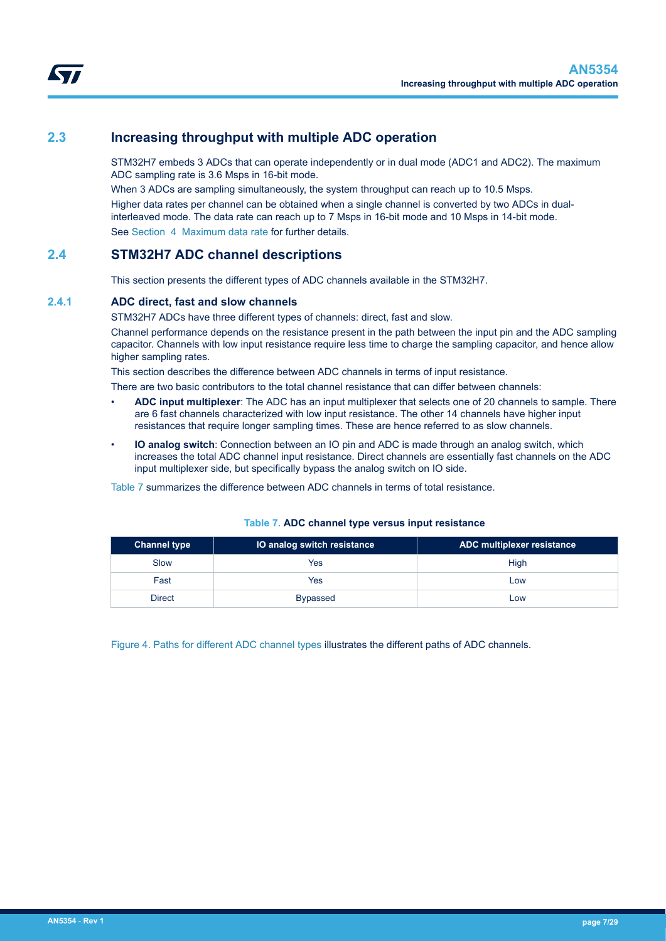## <span id="page-6-0"></span>**2.3 Increasing throughput with multiple ADC operation**

STM32H7 embeds 3 ADCs that can operate independently or in dual mode (ADC1 and ADC2). The maximum ADC sampling rate is 3.6 Msps in 16-bit mode.

When 3 ADCs are sampling simultaneously, the system throughput can reach up to 10.5 Msps. Higher data rates per channel can be obtained when a single channel is converted by two ADCs in dualinterleaved mode. The data rate can reach up to 7 Msps in 16-bit mode and 10 Msps in 14-bit mode. See [Section 4 Maximum data rate](#page-14-0) for further details.

## **2.4 STM32H7 ADC channel descriptions**

This section presents the different types of ADC channels available in the STM32H7.

### **2.4.1 ADC direct, fast and slow channels**

STM32H7 ADCs have three different types of channels: direct, fast and slow.

Channel performance depends on the resistance present in the path between the input pin and the ADC sampling capacitor. Channels with low input resistance require less time to charge the sampling capacitor, and hence allow higher sampling rates.

This section describes the difference between ADC channels in terms of input resistance.

There are two basic contributors to the total channel resistance that can differ between channels:

- **ADC input multiplexer**: The ADC has an input multiplexer that selects one of 20 channels to sample. There are 6 fast channels characterized with low input resistance. The other 14 channels have higher input resistances that require longer sampling times. These are hence referred to as slow channels.
- **IO analog switch**: Connection between an IO pin and ADC is made through an analog switch, which increases the total ADC channel input resistance. Direct channels are essentially fast channels on the ADC input multiplexer side, but specifically bypass the analog switch on IO side.

Table 7 summarizes the difference between ADC channels in terms of total resistance.

| <b>Channel type</b> | IO analog switch resistance | ADC multiplexer resistance |
|---------------------|-----------------------------|----------------------------|
| Slow                | Yes                         | High                       |
| Fast                | Yes                         | Low                        |
| Direct              | <b>Bypassed</b>             | Low                        |

#### **Table 7. ADC channel type versus input resistance**

[Figure 4. Paths for different ADC channel types](#page-7-0) illustrates the different paths of ADC channels.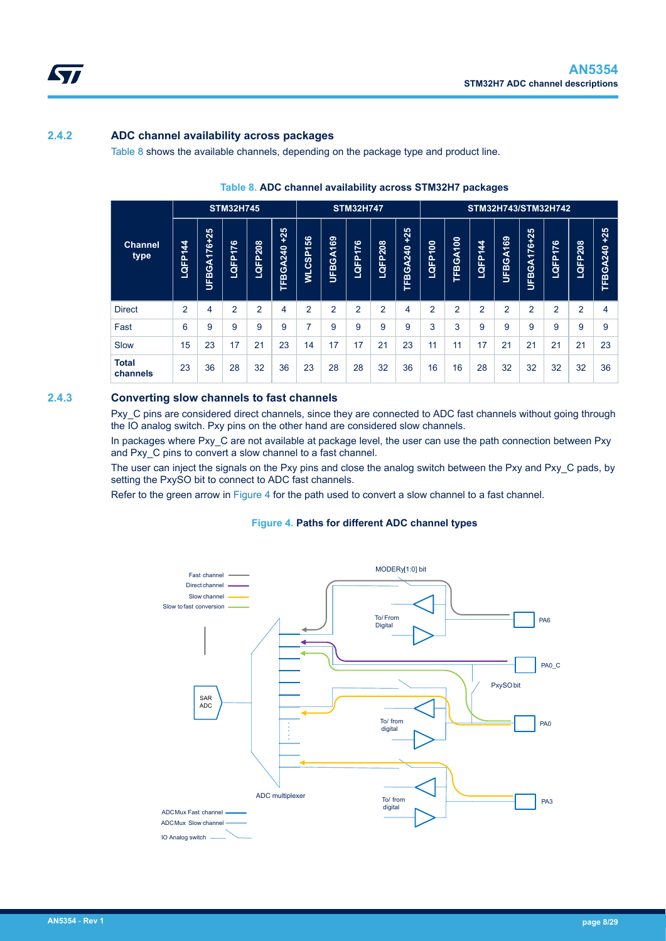<span id="page-7-0"></span>

## **2.4.2 ADC channel availability across packages**

Table 8 shows the available channels, depending on the package type and product line.

|                          | <b>STM32H745</b>                      |             |                |         |                   | <b>STM32H747</b>         |          |                | STM32H743/STM32H742 |                     |                     |                    |                                     |                |                 |                          |                       |                     |
|--------------------------|---------------------------------------|-------------|----------------|---------|-------------------|--------------------------|----------|----------------|---------------------|---------------------|---------------------|--------------------|-------------------------------------|----------------|-----------------|--------------------------|-----------------------|---------------------|
| <b>Channel</b><br>type   | 4<br>$\overline{\phantom{0}}$<br>LQFP | UFBGA176+25 | 176<br>LQFP-   | LQFP208 | $+25$<br>TFBGA240 | န္တ<br>≏<br><b>WLCSI</b> | UFBGA169 | LQFP176        | LQFP208             | $+25$<br>GA240<br>Ě | 8<br>$\div$<br>LQFP | <b>BGA100</b><br>띰 | $\boldsymbol{4}$<br>$\div$<br>LQFP' | UFBGA169       | FBGA176+25<br>Б | $\overline{76}$<br>LQFP1 | 208<br><b>B</b><br>OF | $+25$<br>GA240<br>Ě |
| <b>Direct</b>            | $\overline{2}$                        | 4           | $\overline{2}$ | 2       | 4                 | 2                        | 2        | $\overline{2}$ | 2                   | 4                   | 2                   | $\overline{2}$     | $\overline{2}$                      | $\overline{2}$ | 2               | $\overline{2}$           | $\overline{2}$        | 4                   |
| Fast                     | 6                                     | 9           | 9              | 9       | 9                 | ⇁                        | 9        | 9              | 9                   | 9                   | 3                   | 3                  | 9                                   | 9              | 9               | 9                        | 9                     | 9                   |
| Slow                     | 15                                    | 23          | 17             | 21      | 23                | 14                       | 17       | 17             | 21                  | 23                  | 11                  | 11                 | 17                                  | 21             | 21              | 21                       | 21                    | 23                  |
| <b>Total</b><br>channels | 23                                    | 36          | 28             | 32      | 36                | 23                       | 28       | 28             | 32                  | 36                  | 16                  | 16                 | 28                                  | 32             | 32              | 32                       | 32                    | 36                  |

#### **Table 8. ADC channel availability across STM32H7 packages**

#### **2.4.3 Converting slow channels to fast channels**

Pxy. C pins are considered direct channels, since they are connected to ADC fast channels without going through the IO analog switch. Pxy pins on the other hand are considered slow channels.

In packages where Pxy\_C are not available at package level, the user can use the path connection between Pxy and Pxy\_C pins to convert a slow channel to a fast channel.

The user can inject the signals on the Pxy pins and close the analog switch between the Pxy and Pxy\_C pads, by setting the PxySO bit to connect to ADC fast channels.

Refer to the green arrow in Figure 4 for the path used to convert a slow channel to a fast channel.

#### **Figure 4. Paths for different ADC channel types**

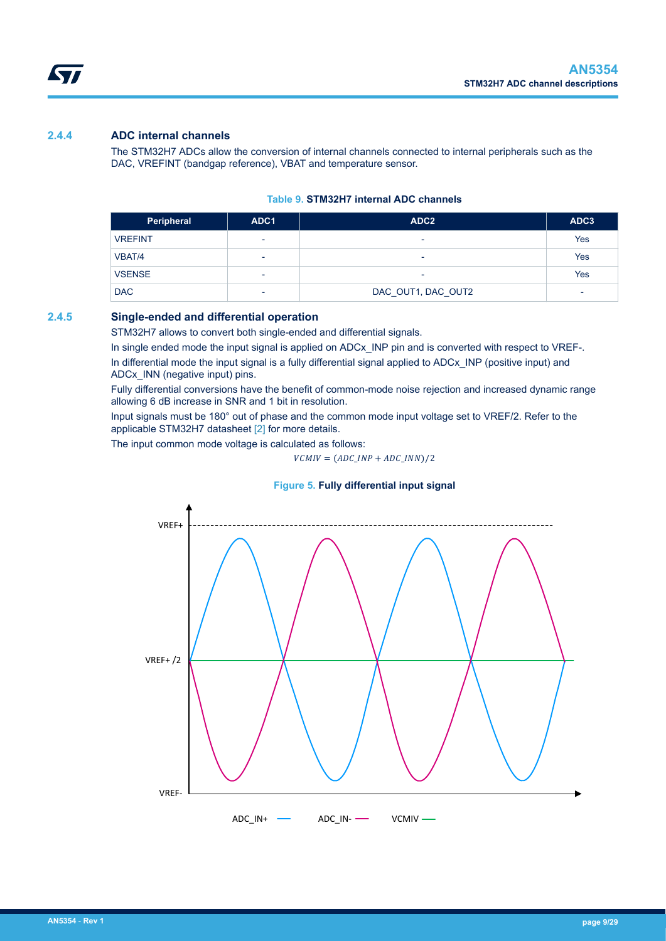## **2.4.4 ADC internal channels**

The STM32H7 ADCs allow the conversion of internal channels connected to internal peripherals such as the DAC, VREFINT (bandgap reference), VBAT and temperature sensor.

#### **Table 9. STM32H7 internal ADC channels**

| Peripheral     | ADC1                     | ADC <sub>2</sub>   | ADC3                     |
|----------------|--------------------------|--------------------|--------------------------|
| <b>VREFINT</b> | $\overline{\phantom{a}}$ | ۰                  | Yes                      |
| VBAT/4         | $\overline{\phantom{a}}$ | ۰                  | Yes                      |
| <b>VSENSE</b>  | ٠                        |                    | Yes                      |
| <b>DAC</b>     | ٠                        | DAC_OUT1, DAC_OUT2 | $\overline{\phantom{0}}$ |

### **2.4.5 Single-ended and differential operation**

STM32H7 allows to convert both single-ended and differential signals.

In single ended mode the input signal is applied on ADCx\_INP pin and is converted with respect to VREF-.

In differential mode the input signal is a fully differential signal applied to ADCx INP (positive input) and ADCx\_INN (negative input) pins.

Fully differential conversions have the benefit of common-mode noise rejection and increased dynamic range allowing 6 dB increase in SNR and 1 bit in resolution.

Input signals must be 180° out of phase and the common mode input voltage set to VREF/2. Refer to the applicable STM32H7 datasheet [\[2\]](#page-1-0) for more details.

The input common mode voltage is calculated as follows:

 $VCMIV = (ADC\_INP + ADC\_INN)/2$ 

## **Figure 5. Fully differential input signal**



<span id="page-8-0"></span>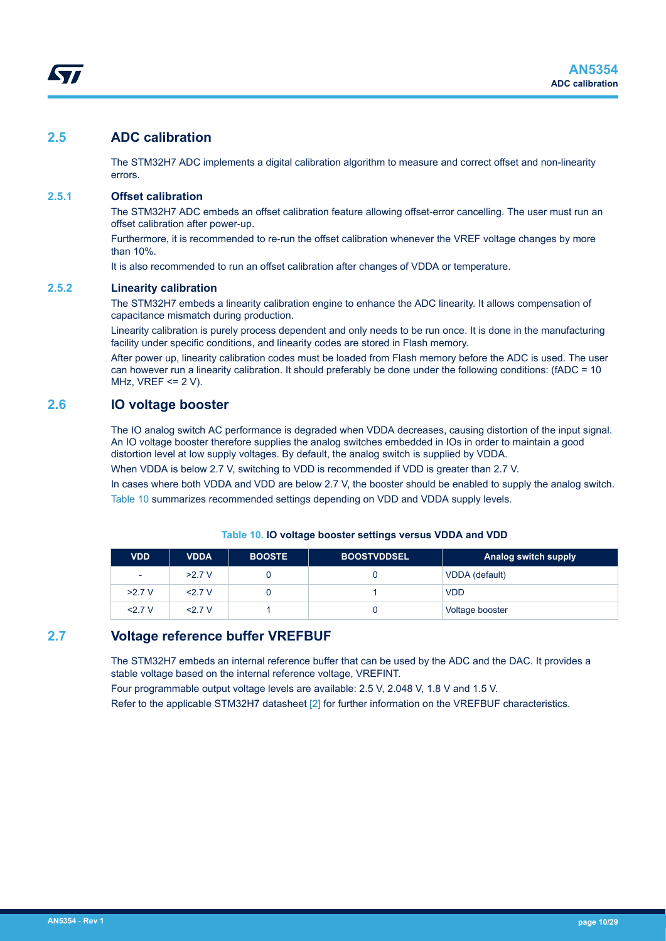## <span id="page-9-0"></span>**2.5 ADC calibration**

The STM32H7 ADC implements a digital calibration algorithm to measure and correct offset and non-linearity errors.

### **2.5.1 Offset calibration**

The STM32H7 ADC embeds an offset calibration feature allowing offset-error cancelling. The user must run an offset calibration after power-up.

Furthermore, it is recommended to re-run the offset calibration whenever the VREF voltage changes by more than 10%.

It is also recommended to run an offset calibration after changes of VDDA or temperature.

## **2.5.2 Linearity calibration**

The STM32H7 embeds a linearity calibration engine to enhance the ADC linearity. It allows compensation of capacitance mismatch during production.

Linearity calibration is purely process dependent and only needs to be run once. It is done in the manufacturing facility under specific conditions, and linearity codes are stored in Flash memory.

After power up, linearity calibration codes must be loaded from Flash memory before the ADC is used. The user can however run a linearity calibration. It should preferably be done under the following conditions: (fADC = 10 MHz,  $VREF \leq 2 V$ ).

## **2.6 IO voltage booster**

The IO analog switch AC performance is degraded when VDDA decreases, causing distortion of the input signal. An IO voltage booster therefore supplies the analog switches embedded in IOs in order to maintain a good distortion level at low supply voltages. By default, the analog switch is supplied by VDDA.

When VDDA is below 2.7 V, switching to VDD is recommended if VDD is greater than 2.7 V.

In cases where both VDDA and VDD are below 2.7 V, the booster should be enabled to supply the analog switch. Table 10 summarizes recommended settings depending on VDD and VDDA supply levels.

| <b>VDD</b> | <b>VDDA</b> | <b>BOOSTE</b> | <b>BOOSTVDDSEL</b> | Analog switch supply |
|------------|-------------|---------------|--------------------|----------------------|
| ٠          | $>2.7$ V    |               |                    | VDDA (default)       |
| $>2.7$ V   | 2.7V        |               |                    | <b>VDD</b>           |
| $<$ 27 $V$ | $<$ 27 $V$  |               |                    | Voltage booster      |

#### **Table 10. IO voltage booster settings versus VDDA and VDD**

## **2.7 Voltage reference buffer VREFBUF**

The STM32H7 embeds an internal reference buffer that can be used by the ADC and the DAC. It provides a stable voltage based on the internal reference voltage, VREFINT.

Four programmable output voltage levels are available: 2.5 V, 2.048 V, 1.8 V and 1.5 V.

Refer to the applicable STM32H7 datasheet [\[2\]](#page-1-0) for further information on the VREFBUF characteristics.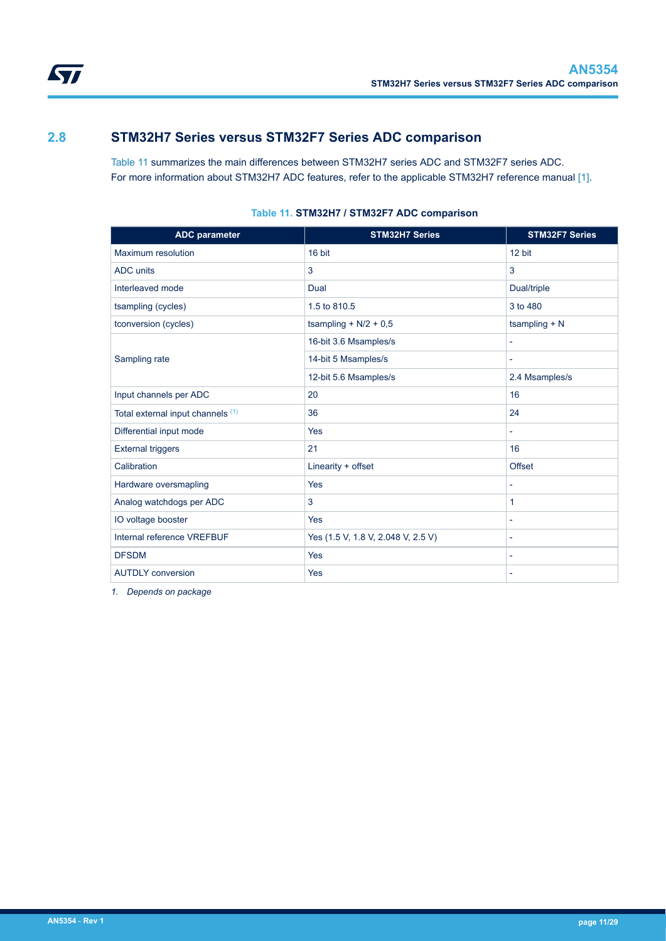<span id="page-10-0"></span>

## **2.8 STM32H7 Series versus STM32F7 Series ADC comparison**

Table 11 summarizes the main differences between STM32H7 series ADC and STM32F7 series ADC. For more information about STM32H7 ADC features, refer to the applicable STM32H7 reference manual [\[1\].](#page-1-0)

| <b>ADC</b> parameter              | <b>STM32H7 Series</b>              | <b>STM32F7 Series</b>    |
|-----------------------------------|------------------------------------|--------------------------|
| Maximum resolution                | 16 bit                             | 12 bit                   |
| <b>ADC</b> units                  | 3                                  | 3                        |
| Interleaved mode                  | Dual                               | Dual/triple              |
| tsampling (cycles)                | 1.5 to 810.5                       | 3 to 480                 |
| tconversion (cycles)              | tsampling + $N/2$ + 0,5            | tsampling $+ N$          |
|                                   | 16-bit 3.6 Msamples/s              | $\overline{\phantom{0}}$ |
| Sampling rate                     | 14-bit 5 Msamples/s                |                          |
|                                   | 12-bit 5.6 Msamples/s              | 2.4 Msamples/s           |
| Input channels per ADC            | 20                                 | 16                       |
| Total external input channels (1) | 36                                 | 24                       |
| Differential input mode           | Yes                                | ÷.                       |
| <b>External triggers</b>          | 21                                 | 16                       |
| Calibration                       | Linearity + offset                 | Offset                   |
| Hardware oversmapling             | Yes                                | ÷,                       |
| Analog watchdogs per ADC          | 3                                  | 1                        |
| IO voltage booster                | Yes                                | -                        |
| Internal reference VREFBUF        | Yes (1.5 V, 1.8 V, 2.048 V, 2.5 V) |                          |
| <b>DFSDM</b>                      | Yes                                | $\overline{\phantom{a}}$ |
| <b>AUTDLY</b> conversion          | Yes                                | ٠                        |

## **Table 11. STM32H7 / STM32F7 ADC comparison**

*1. Depends on package*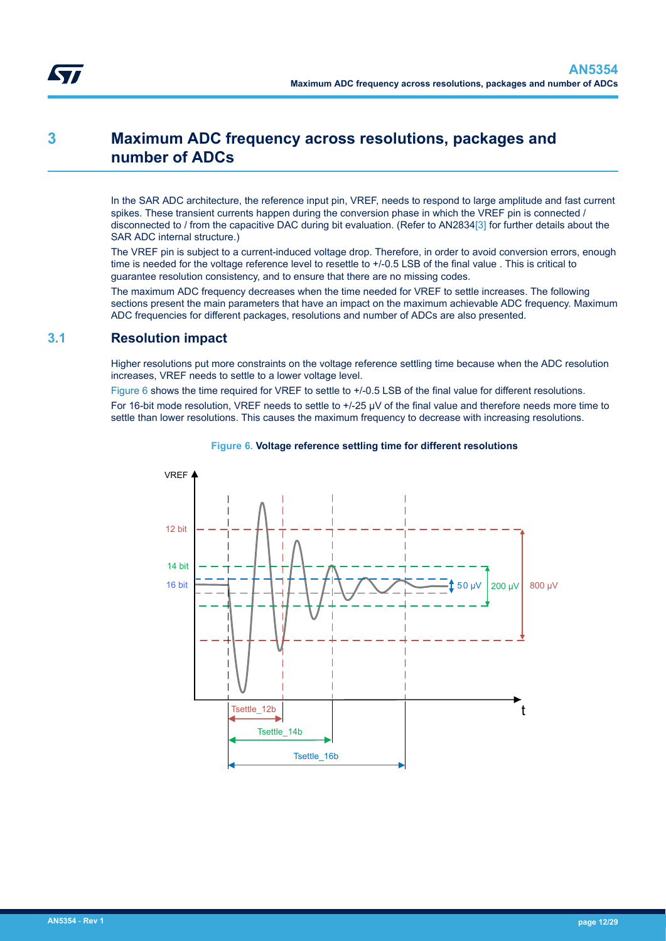<span id="page-11-0"></span>

## **3 Maximum ADC frequency across resolutions, packages and number of ADCs**

In the SAR ADC architecture, the reference input pin, VREF, needs to respond to large amplitude and fast current spikes. These transient currents happen during the conversion phase in which the VREF pin is connected / disconnected to / from the capacitive DAC during bit evaluation. (Refer to AN2834[\[3\]](#page-1-0) for further details about the SAR ADC internal structure.)

The VREF pin is subject to a current-induced voltage drop. Therefore, in order to avoid conversion errors, enough time is needed for the voltage reference level to resettle to  $+/-0.5$  LSB of the final value . This is critical to guarantee resolution consistency, and to ensure that there are no missing codes.

The maximum ADC frequency decreases when the time needed for VREF to settle increases. The following sections present the main parameters that have an impact on the maximum achievable ADC frequency. Maximum ADC frequencies for different packages, resolutions and number of ADCs are also presented.

## **3.1 Resolution impact**

Higher resolutions put more constraints on the voltage reference settling time because when the ADC resolution increases, VREF needs to settle to a lower voltage level.

Figure 6 shows the time required for VREF to settle to +/-0.5 LSB of the final value for different resolutions. For 16-bit mode resolution, VREF needs to settle to  $+/-25$   $\mu$ V of the final value and therefore needs more time to settle than lower resolutions. This causes the maximum frequency to decrease with increasing resolutions.



#### **Figure 6. Voltage reference settling time for different resolutions**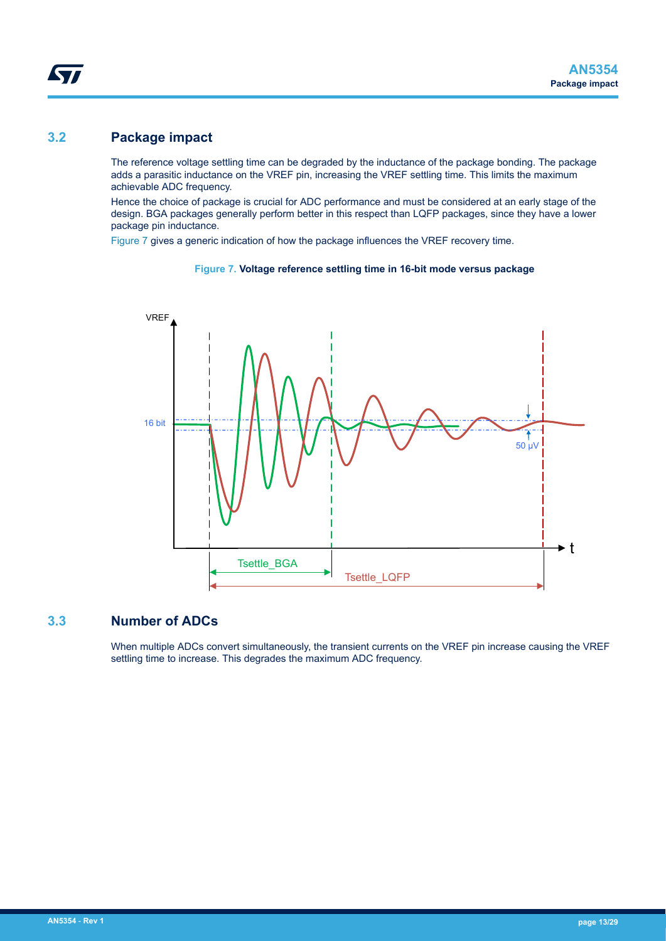## <span id="page-12-0"></span>**3.2 Package impact**

The reference voltage settling time can be degraded by the inductance of the package bonding. The package adds a parasitic inductance on the VREF pin, increasing the VREF settling time. This limits the maximum achievable ADC frequency.

Hence the choice of package is crucial for ADC performance and must be considered at an early stage of the design. BGA packages generally perform better in this respect than LQFP packages, since they have a lower package pin inductance.

Figure 7 gives a generic indication of how the package influences the VREF recovery time.

#### **Figure 7. Voltage reference settling time in 16-bit mode versus package**



## **3.3 Number of ADCs**

When multiple ADCs convert simultaneously, the transient currents on the VREF pin increase causing the VREF settling time to increase. This degrades the maximum ADC frequency.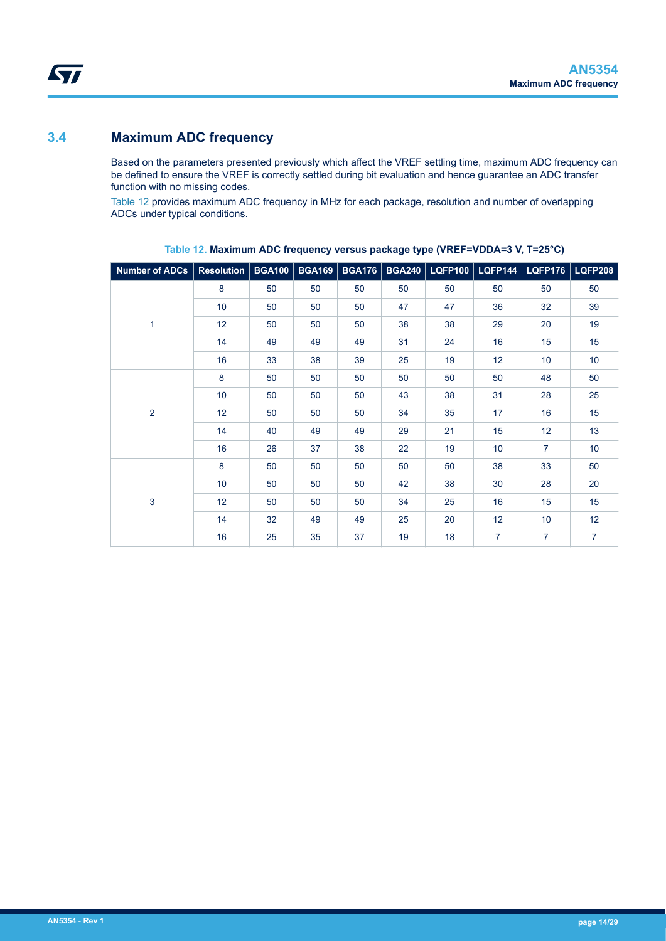## <span id="page-13-0"></span>**3.4 Maximum ADC frequency**

Based on the parameters presented previously which affect the VREF settling time, maximum ADC frequency can be defined to ensure the VREF is correctly settled during bit evaluation and hence guarantee an ADC transfer function with no missing codes.

Table 12 provides maximum ADC frequency in MHz for each package, resolution and number of overlapping ADCs under typical conditions.

| Number of ADCs           | Resolution   BGA100 |    |    |    |    |    | BGA169   BGA176   BGA240   LQFP100   LQFP144   LQFP176 |                | <b>LQFP208</b> |
|--------------------------|---------------------|----|----|----|----|----|--------------------------------------------------------|----------------|----------------|
|                          | 8                   | 50 | 50 | 50 | 50 | 50 | 50                                                     | 50             | 50             |
| 1<br>$\overline{2}$<br>3 | 10 <sup>1</sup>     | 50 | 50 | 50 | 47 | 47 | 36                                                     | 32             | 39             |
|                          | 12                  | 50 | 50 | 50 | 38 | 38 | 29                                                     | 20             | 19             |
|                          | 14                  | 49 | 49 | 49 | 31 | 24 | 16                                                     | 15             | 15             |
|                          | 16                  | 33 | 38 | 39 | 25 | 19 | 12                                                     | 10             | 10             |
|                          | 8                   | 50 | 50 | 50 | 50 | 50 | 50                                                     | 48             | 50             |
|                          | 10 <sup>1</sup>     | 50 | 50 | 50 | 43 | 38 | 31                                                     | 28             | 25             |
|                          | 12                  | 50 | 50 | 50 | 34 | 35 | 17                                                     | 16             | 15             |
|                          | 14                  | 40 | 49 | 49 | 29 | 21 | 15                                                     | 12             | 13             |
|                          | 16                  | 26 | 37 | 38 | 22 | 19 | 10                                                     | $\overline{7}$ | 10             |
|                          | 8                   | 50 | 50 | 50 | 50 | 50 | 38                                                     | 33             | 50             |
|                          | 10 <sup>°</sup>     | 50 | 50 | 50 | 42 | 38 | 30                                                     | 28             | 20             |
|                          | 12                  | 50 | 50 | 50 | 34 | 25 | 16                                                     | 15             | 15             |
|                          | 14                  | 32 | 49 | 49 | 25 | 20 | 12                                                     | 10             | 12             |
|                          | 16                  | 25 | 35 | 37 | 19 | 18 | $\overline{7}$                                         | $\overline{7}$ | $\overline{7}$ |

**Table 12. Maximum ADC frequency versus package type (VREF=VDDA=3 V, T=25°C)**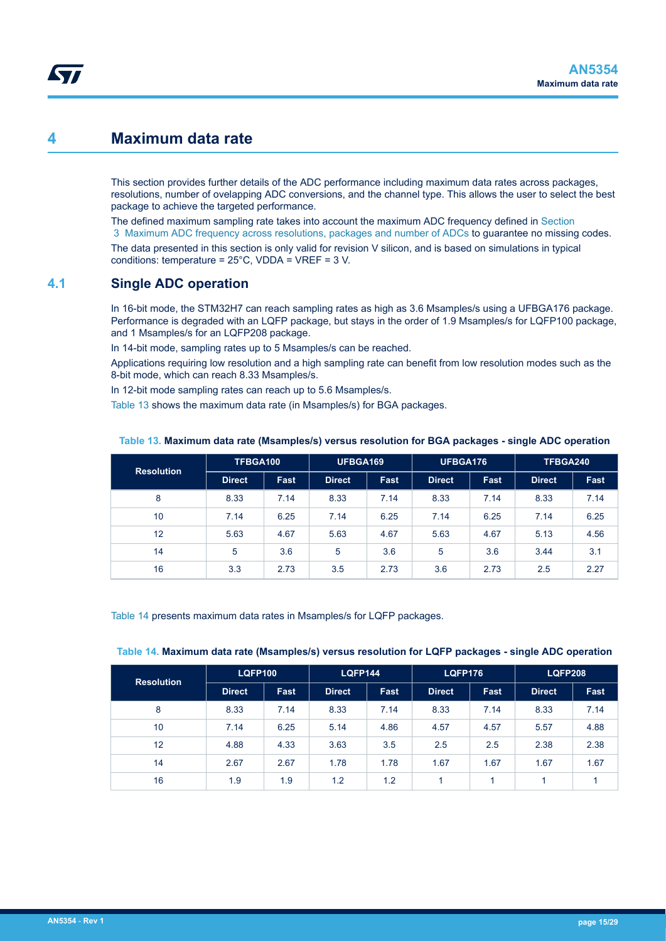## <span id="page-14-0"></span>**4 Maximum data rate**

This section provides further details of the ADC performance including maximum data rates across packages, resolutions, number of ovelapping ADC conversions, and the channel type. This allows the user to select the best package to achieve the targeted performance.

The defined maximum sampling rate takes into account the maximum ADC frequency defined in [Section](#page-11-0)  [3 Maximum ADC frequency across resolutions, packages and number of ADCs](#page-11-0) to guarantee no missing codes.

The data presented in this section is only valid for revision V silicon, and is based on simulations in typical conditions: temperature = 25°C, VDDA = VREF = 3 V.

## **4.1 Single ADC operation**

In 16-bit mode, the STM32H7 can reach sampling rates as high as 3.6 Msamples/s using a UFBGA176 package. Performance is degraded with an LQFP package, but stays in the order of 1.9 Msamples/s for LQFP100 package, and 1 Msamples/s for an LQFP208 package.

In 14-bit mode, sampling rates up to 5 Msamples/s can be reached.

Applications requiring low resolution and a high sampling rate can benefit from low resolution modes such as the 8-bit mode, which can reach 8.33 Msamples/s.

In 12-bit mode sampling rates can reach up to 5.6 Msamples/s.

Table 13 shows the maximum data rate (in Msamples/s) for BGA packages.

| <b>Resolution</b> | TFBGA100      |             | UFBGA169      |      | UFBGA176      |      | TFBGA240      |      |
|-------------------|---------------|-------------|---------------|------|---------------|------|---------------|------|
|                   | <b>Direct</b> | <b>Fast</b> | <b>Direct</b> | Fast | <b>Direct</b> | Fast | <b>Direct</b> | Fast |
| 8                 | 8.33          | 7.14        | 8.33          | 7.14 | 8.33          | 7.14 | 8.33          | 7.14 |
| 10                | 7.14          | 6.25        | 7.14          | 6.25 | 7.14          | 6.25 | 7.14          | 6.25 |
| 12                | 5.63          | 4.67        | 5.63          | 4.67 | 5.63          | 4.67 | 5.13          | 4.56 |
| 14                | 5             | 3.6         | 5             | 3.6  | 5             | 3.6  | 3.44          | 3.1  |
| 16                | 3.3           | 2.73        | 3.5           | 2.73 | 3.6           | 2.73 | 2.5           | 2.27 |

### **Table 13. Maximum data rate (Msamples/s) versus resolution for BGA packages - single ADC operation**

Table 14 presents maximum data rates in Msamples/s for LQFP packages.

#### **Table 14. Maximum data rate (Msamples/s) versus resolution for LQFP packages - single ADC operation**

| <b>Resolution</b> | <b>LQFP100</b> |             | <b>LQFP144</b> |             | <b>LQFP176</b> |      | <b>LQFP208</b> |             |
|-------------------|----------------|-------------|----------------|-------------|----------------|------|----------------|-------------|
|                   | <b>Direct</b>  | <b>Fast</b> | <b>Direct</b>  | <b>Fast</b> | <b>Direct</b>  | Fast | <b>Direct</b>  | <b>Fast</b> |
| 8                 | 8.33           | 7.14        | 8.33           | 7.14        | 8.33           | 7.14 | 8.33           | 7.14        |
| 10                | 7.14           | 6.25        | 5.14           | 4.86        | 4.57           | 4.57 | 5.57           | 4.88        |
| 12                | 4.88           | 4.33        | 3.63           | 3.5         | 2.5            | 2.5  | 2.38           | 2.38        |
| 14                | 2.67           | 2.67        | 1.78           | 1.78        | 1.67           | 1.67 | 1.67           | 1.67        |
| 16                | 1.9            | 1.9         | 1.2            | 1.2         |                |      |                |             |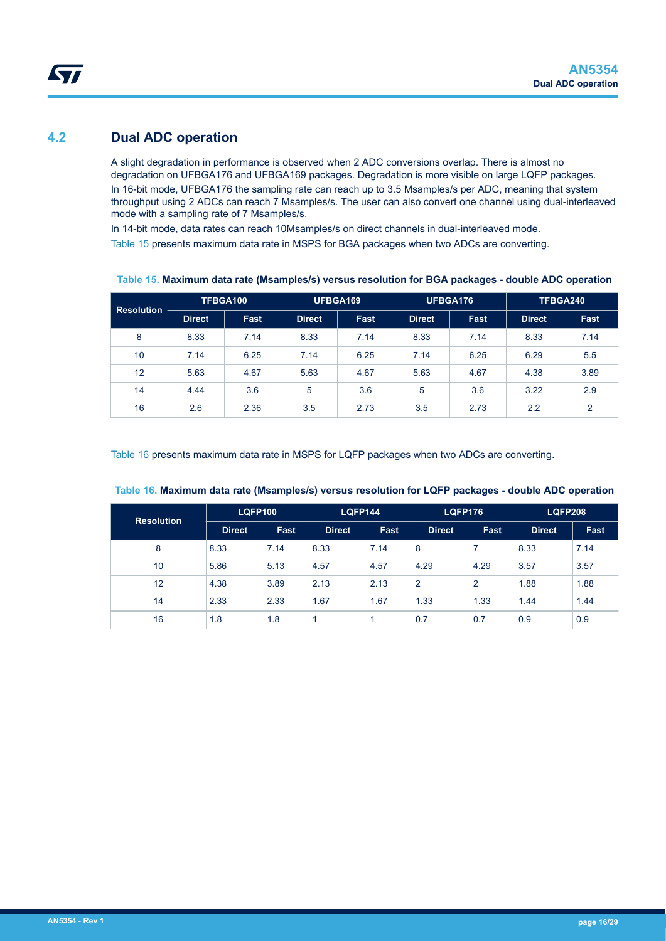## <span id="page-15-0"></span>**4.2 Dual ADC operation**

A slight degradation in performance is observed when 2 ADC conversions overlap. There is almost no degradation on UFBGA176 and UFBGA169 packages. Degradation is more visible on large LQFP packages. In 16-bit mode, UFBGA176 the sampling rate can reach up to 3.5 Msamples/s per ADC, meaning that system throughput using 2 ADCs can reach 7 Msamples/s. The user can also convert one channel using dual-interleaved mode with a sampling rate of 7 Msamples/s.

In 14-bit mode, data rates can reach 10Msamples/s on direct channels in dual-interleaved mode.

Table 15 presents maximum data rate in MSPS for BGA packages when two ADCs are converting.

| <b>Resolution</b> |               | TFBGA100    | UFBGA169      |      | UFBGA176      |      | TFBGA240      |      |
|-------------------|---------------|-------------|---------------|------|---------------|------|---------------|------|
|                   | <b>Direct</b> | <b>Fast</b> | <b>Direct</b> | Fast | <b>Direct</b> | Fast | <b>Direct</b> | Fast |
| 8                 | 8.33          | 7.14        | 8.33          | 7.14 | 8.33          | 7.14 | 8.33          | 7.14 |
| 10                | 7.14          | 6.25        | 7.14          | 6.25 | 7.14          | 6.25 | 6.29          | 5.5  |
| 12                | 5.63          | 4.67        | 5.63          | 4.67 | 5.63          | 4.67 | 4.38          | 3.89 |
| 14                | 4.44          | 3.6         | 5             | 3.6  | 5             | 3.6  | 3.22          | 2.9  |
| 16                | 2.6           | 2.36        | 3.5           | 2.73 | 3.5           | 2.73 | 2.2           | 2    |

**Table 15. Maximum data rate (Msamples/s) versus resolution for BGA packages - double ADC operation**

Table 16 presents maximum data rate in MSPS for LQFP packages when two ADCs are converting.

| <b>Resolution</b> |               | <b>LQFP100</b> |               | <b>LQFP144</b> |               | <b>LQFP176</b> |               | <b>LQFP208</b> |  |
|-------------------|---------------|----------------|---------------|----------------|---------------|----------------|---------------|----------------|--|
|                   | <b>Direct</b> | <b>Fast</b>    | <b>Direct</b> | <b>Fast</b>    | <b>Direct</b> | Fast           | <b>Direct</b> | Fast           |  |
| 8                 | 8.33          | 7.14           | 8.33          | 7.14           | 8             |                | 8.33          | 7.14           |  |
| 10                | 5.86          | 5.13           | 4.57          | 4.57           | 4.29          | 4.29           | 3.57          | 3.57           |  |
| 12                | 4.38          | 3.89           | 2.13          | 2.13           | 2             | $\overline{2}$ | 1.88          | 1.88           |  |
| 14                | 2.33          | 2.33           | 1.67          | 1.67           | 1.33          | 1.33           | 1.44          | 1.44           |  |
| 16                | 1.8           | 1.8            |               |                | 0.7           | 0.7            | 0.9           | 0.9            |  |

#### **Table 16. Maximum data rate (Msamples/s) versus resolution for LQFP packages - double ADC operation**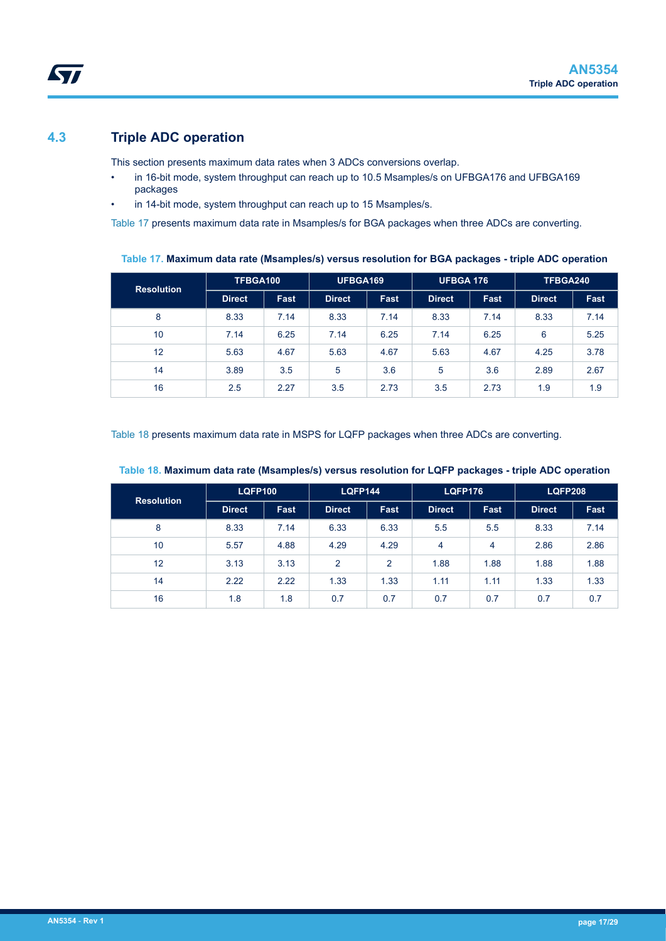## <span id="page-16-0"></span>**4.3 Triple ADC operation**

This section presents maximum data rates when 3 ADCs conversions overlap.

- in 16-bit mode, system throughput can reach up to 10.5 Msamples/s on UFBGA176 and UFBGA169 packages
- in 14-bit mode, system throughput can reach up to 15 Msamples/s.

Table 17 presents maximum data rate in Msamples/s for BGA packages when three ADCs are converting.

**Table 17. Maximum data rate (Msamples/s) versus resolution for BGA packages - triple ADC operation**

| <b>Resolution</b> | TFBGA100      |      | UFBGA169      |      | UFBGA 176     |      | TFBGA240      |             |
|-------------------|---------------|------|---------------|------|---------------|------|---------------|-------------|
|                   | <b>Direct</b> | Fast | <b>Direct</b> | Fast | <b>Direct</b> | Fast | <b>Direct</b> | <b>Fast</b> |
| 8                 | 8.33          | 7.14 | 8.33          | 7.14 | 8.33          | 7.14 | 8.33          | 7.14        |
| 10                | 7.14          | 6.25 | 7.14          | 6.25 | 7.14          | 6.25 | 6             | 5.25        |
| 12                | 5.63          | 4.67 | 5.63          | 4.67 | 5.63          | 4.67 | 4.25          | 3.78        |
| 14                | 3.89          | 3.5  | 5             | 3.6  | 5             | 3.6  | 2.89          | 2.67        |
| 16                | 2.5           | 2.27 | 3.5           | 2.73 | 3.5           | 2.73 | 1.9           | 1.9         |

Table 18 presents maximum data rate in MSPS for LQFP packages when three ADCs are converting.

| <b>Resolution</b> | <b>LQFP100</b> |             | <b>LQFP144</b> |      | <b>LQFP176</b> |      | <b>LQFP208</b> |             |
|-------------------|----------------|-------------|----------------|------|----------------|------|----------------|-------------|
|                   | <b>Direct</b>  | <b>Fast</b> | <b>Direct</b>  | Fast | <b>Direct</b>  | Fast | <b>Direct</b>  | <b>Fast</b> |
| 8                 | 8.33           | 7.14        | 6.33           | 6.33 | 5.5            | 5.5  | 8.33           | 7.14        |
| 10                | 5.57           | 4.88        | 4.29           | 4.29 | 4              | 4    | 2.86           | 2.86        |
| 12                | 3.13           | 3.13        | $\overline{2}$ | 2    | 1.88           | 1.88 | 1.88           | 1.88        |
| 14                | 2.22           | 2.22        | 1.33           | 1.33 | 1.11           | 1.11 | 1.33           | 1.33        |
| 16                | 1.8            | 1.8         | 0.7            | 0.7  | 0.7            | 0.7  | 0.7            | 0.7         |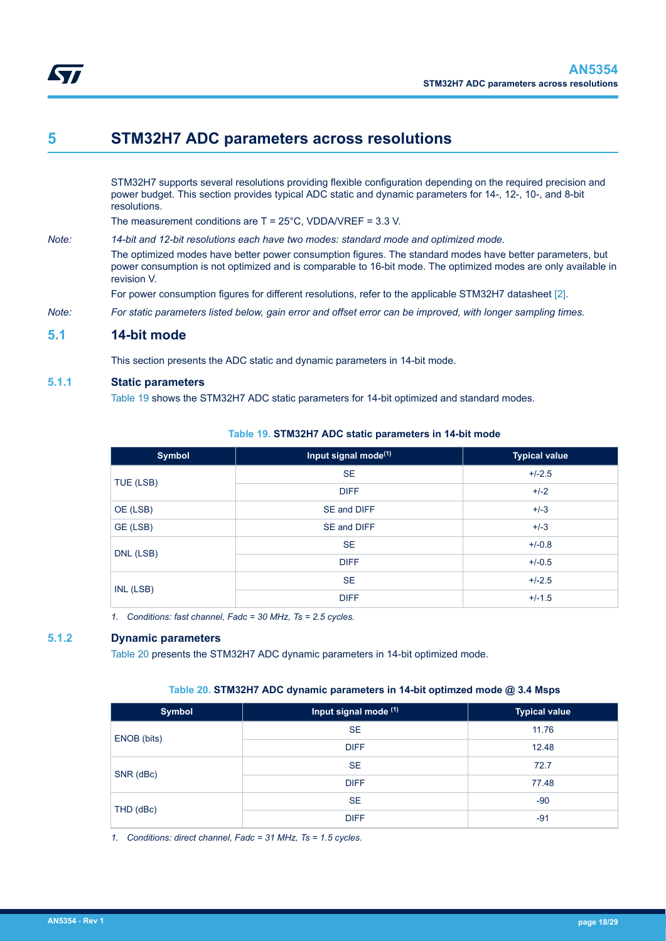<span id="page-17-0"></span>

## **5 STM32H7 ADC parameters across resolutions**

STM32H7 supports several resolutions providing flexible configuration depending on the required precision and power budget. This section provides typical ADC static and dynamic parameters for 14-, 12-, 10-, and 8-bit resolutions.

The measurement conditions are T = 25°C, VDDA/VREF = 3.3 V.

*Note: 14-bit and 12-bit resolutions each have two modes: standard mode and optimized mode.* The optimized modes have better power consumption figures. The standard modes have better parameters, but power consumption is not optimized and is comparable to 16-bit mode. The optimized modes are only available in revision V. For power consumption figures for different resolutions, refer to the applicable STM32H7 datasheet [\[2\].](#page-1-0)

*Note: For static parameters listed below, gain error and offset error can be improved, with longer sampling times.*

## **5.1 14-bit mode**

This section presents the ADC static and dynamic parameters in 14-bit mode.

### **5.1.1 Static parameters**

Table 19 shows the STM32H7 ADC static parameters for 14-bit optimized and standard modes.

#### **Table 19. STM32H7 ADC static parameters in 14-bit mode**

| <b>Symbol</b> | Input signal mode <sup>(1)</sup> | <b>Typical value</b> |
|---------------|----------------------------------|----------------------|
| TUE (LSB)     | <b>SE</b>                        | $+/-2.5$             |
|               | <b>DIFF</b>                      | $+/-2$               |
| OE (LSB)      | SE and DIFF                      | $+/-3$               |
| GE (LSB)      | SE and DIFF                      | $+/-3$               |
|               | <b>SE</b>                        | $+/-0.8$             |
| DNL (LSB)     | <b>DIFF</b>                      | $+/-0.5$             |
| INL (LSB)     | <b>SE</b>                        | $+/-2.5$             |
|               | <b>DIFF</b>                      | $+/-1.5$             |

*1. Conditions: fast channel, Fadc = 30 MHz, Ts = 2.5 cycles.*

### **5.1.2 Dynamic parameters**

Table 20 presents the STM32H7 ADC dynamic parameters in 14-bit optimized mode.

#### **Table 20. STM32H7 ADC dynamic parameters in 14-bit optimzed mode @ 3.4 Msps**

| <b>Symbol</b> | Input signal mode (1) | <b>Typical value</b> |
|---------------|-----------------------|----------------------|
|               | <b>SE</b>             | 11.76                |
| ENOB (bits)   | <b>DIFF</b>           | 12.48                |
|               | <b>SE</b>             | 72.7                 |
| SNR (dBc)     | <b>DIFF</b>           | 77.48                |
| THD (dBc)     | <b>SE</b>             | $-90$                |
|               | <b>DIFF</b>           | $-91$                |

*1. Conditions: direct channel, Fadc = 31 MHz, Ts = 1.5 cycles.*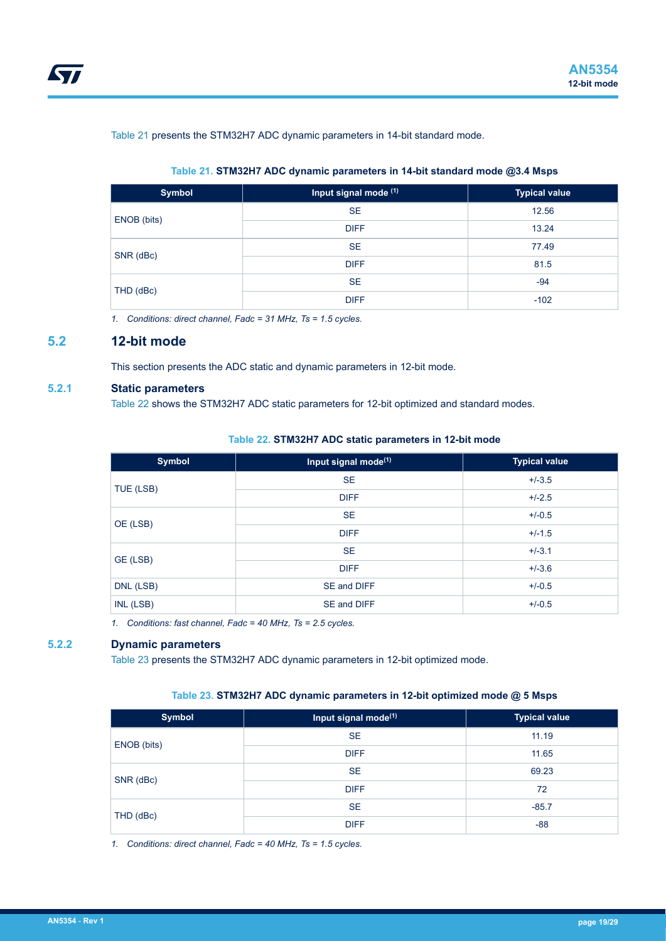<span id="page-18-0"></span>Table 21 presents the STM32H7 ADC dynamic parameters in 14-bit standard mode.

### **Table 21. STM32H7 ADC dynamic parameters in 14-bit standard mode @3.4 Msps**

| <b>Symbol</b> | Input signal mode (1) | <b>Typical value</b> |
|---------------|-----------------------|----------------------|
|               | <b>SE</b>             | 12.56                |
| ENOB (bits)   | <b>DIFF</b>           | 13.24                |
| SNR (dBc)     | <b>SE</b>             | 77.49                |
|               | <b>DIFF</b>           | 81.5                 |
|               | <b>SE</b>             | $-94$                |
| THD (dBc)     | <b>DIFF</b>           | $-102$               |

*1. Conditions: direct channel, Fadc = 31 MHz, Ts = 1.5 cycles.*

## **5.2 12-bit mode**

This section presents the ADC static and dynamic parameters in 12-bit mode.

## **5.2.1 Static parameters**

Table 22 shows the STM32H7 ADC static parameters for 12-bit optimized and standard modes.

#### **Table 22. STM32H7 ADC static parameters in 12-bit mode**

| <b>Symbol</b> | Input signal mode <sup>(1)</sup> | <b>Typical value</b> |
|---------------|----------------------------------|----------------------|
|               | <b>SE</b>                        | $+/-3.5$             |
| TUE (LSB)     | <b>DIFF</b>                      | $+/-2.5$             |
| OE (LSB)      | <b>SE</b>                        | $+/-0.5$             |
|               | <b>DIFF</b>                      | $+/-1.5$             |
| GE (LSB)      | <b>SE</b>                        | $+/-3.1$             |
|               | <b>DIFF</b>                      | $+/-3.6$             |
| DNL (LSB)     | SE and DIFF                      | $+/-0.5$             |
| INL (LSB)     | SE and DIFF                      | $+/-0.5$             |

*1. Conditions: fast channel, Fadc = 40 MHz, Ts = 2.5 cycles.*

## **5.2.2 Dynamic parameters**

Table 23 presents the STM32H7 ADC dynamic parameters in 12-bit optimized mode.

#### **Table 23. STM32H7 ADC dynamic parameters in 12-bit optimized mode @ 5 Msps**

| <b>Symbol</b> | Input signal mode <sup>(1)</sup> | <b>Typical value</b> |
|---------------|----------------------------------|----------------------|
|               | <b>SE</b>                        | 11.19                |
| ENOB (bits)   | <b>DIFF</b>                      | 11.65                |
|               | <b>SE</b>                        | 69.23                |
| SNR (dBc)     | <b>DIFF</b>                      | 72                   |
| THD (dBc)     | <b>SE</b>                        | $-85.7$              |
|               | <b>DIFF</b>                      | $-88$                |

*1. Conditions: direct channel, Fadc = 40 MHz, Ts = 1.5 cycles.*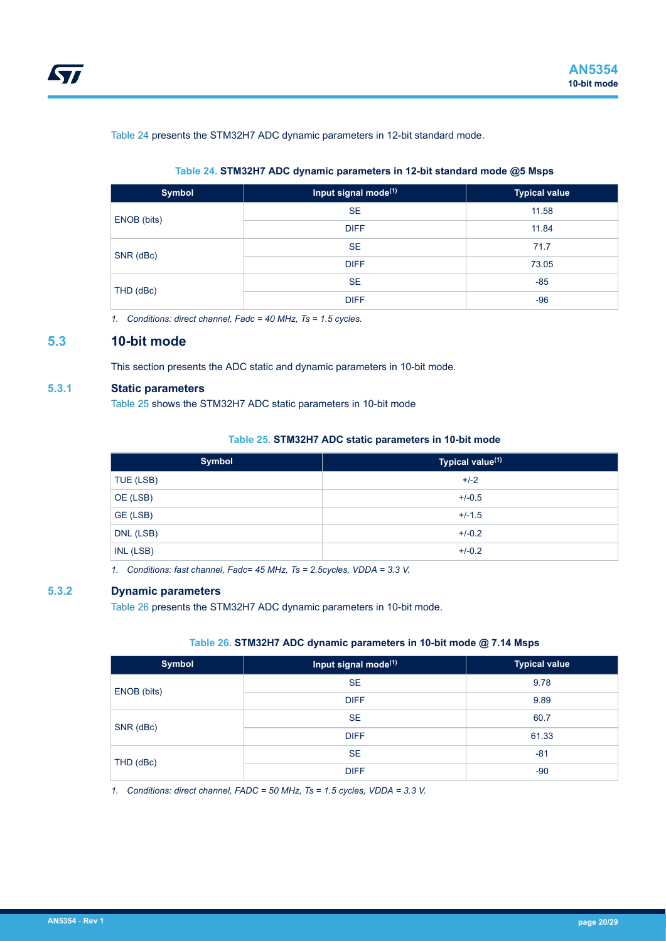<span id="page-19-0"></span>Table 24 presents the STM32H7 ADC dynamic parameters in 12-bit standard mode.

#### **Table 24. STM32H7 ADC dynamic parameters in 12-bit standard mode @5 Msps**

| <b>Symbol</b> | Input signal mode <sup>(1)</sup> | <b>Typical value</b> |
|---------------|----------------------------------|----------------------|
|               | <b>SE</b>                        | 11.58                |
| ENOB (bits)   | <b>DIFF</b>                      | 11.84                |
|               | <b>SE</b>                        | 71.7                 |
| SNR (dBc)     | <b>DIFF</b>                      | 73.05                |
|               | <b>SE</b>                        | $-85$                |
| THD (dBc)     | <b>DIFF</b>                      | $-96$                |

*1. Conditions: direct channel, Fadc = 40 MHz, Ts = 1.5 cycles.*

## **5.3 10-bit mode**

This section presents the ADC static and dynamic parameters in 10-bit mode.

### **5.3.1 Static parameters**

Table 25 shows the STM32H7 ADC static parameters in 10-bit mode

### **Table 25. STM32H7 ADC static parameters in 10-bit mode**

| Symbol    | Typical value <sup>(1)</sup> |
|-----------|------------------------------|
| TUE (LSB) | $+/-2$                       |
| OE (LSB)  | $+/-0.5$                     |
| GE (LSB)  | $+/-1.5$                     |
| DNL (LSB) | $+/-0.2$                     |
| INL (LSB) | $+/-0.2$                     |

*1. Conditions: fast channel, Fadc= 45 MHz, Ts = 2.5cycles, VDDA = 3.3 V.*

### **5.3.2 Dynamic parameters**

Table 26 presents the STM32H7 ADC dynamic parameters in 10-bit mode.

## **Table 26. STM32H7 ADC dynamic parameters in 10-bit mode @ 7.14 Msps**

| Symbol      | Input signal mode <sup>(1)</sup> | <b>Typical value</b> |
|-------------|----------------------------------|----------------------|
| ENOB (bits) | <b>SE</b>                        | 9.78                 |
|             | <b>DIFF</b>                      | 9.89                 |
| SNR (dBc)   | <b>SE</b>                        | 60.7                 |
|             | <b>DIFF</b>                      | 61.33                |
|             | <b>SE</b>                        | $-81$                |
| THD (dBc)   | <b>DIFF</b>                      | $-90$                |

*1. Conditions: direct channel, FADC = 50 MHz, Ts = 1.5 cycles, VDDA = 3.3 V.*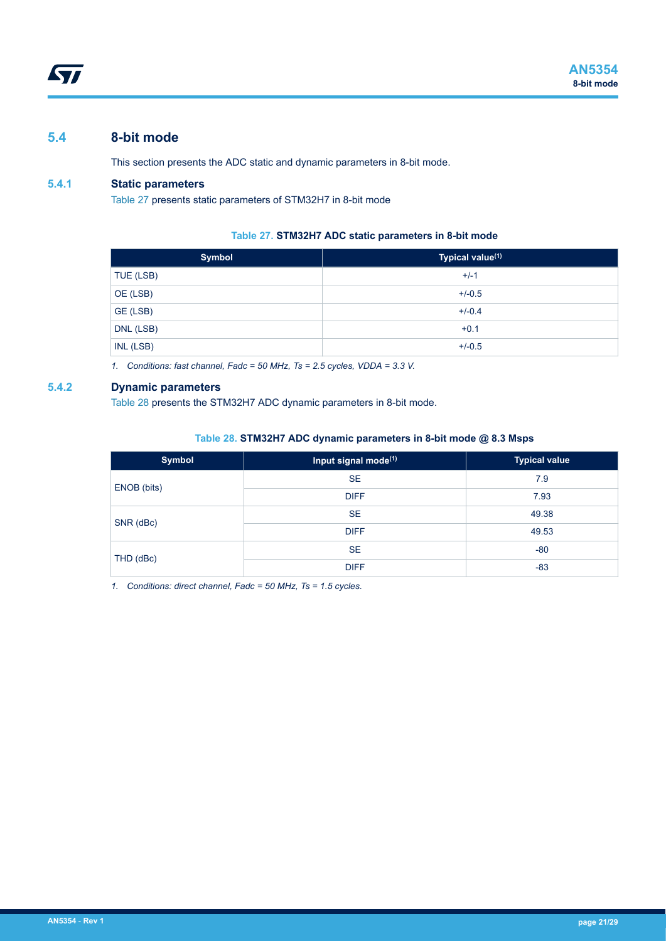## <span id="page-20-0"></span>**5.4 8-bit mode**

This section presents the ADC static and dynamic parameters in 8-bit mode.

## **5.4.1 Static parameters**

Table 27 presents static parameters of STM32H7 in 8-bit mode

### **Table 27. STM32H7 ADC static parameters in 8-bit mode**

| <b>Symbol</b> | Typical value <sup>(1)</sup> |
|---------------|------------------------------|
| TUE (LSB)     | $+/-1$                       |
| OE (LSB)      | $+/-0.5$                     |
| GE (LSB)      | $+/-0.4$                     |
| DNL (LSB)     | $+0.1$                       |
| INL (LSB)     | $+/-0.5$                     |

*1. Conditions: fast channel, Fadc = 50 MHz, Ts = 2.5 cycles, VDDA = 3.3 V.*

## **5.4.2 Dynamic parameters**

Table 28 presents the STM32H7 ADC dynamic parameters in 8-bit mode.

#### **Table 28. STM32H7 ADC dynamic parameters in 8-bit mode @ 8.3 Msps**

| <b>Symbol</b> | Input signal mode <sup>(1)</sup> | <b>Typical value</b> |
|---------------|----------------------------------|----------------------|
| ENOB (bits)   | <b>SE</b>                        | 7.9                  |
|               | <b>DIFF</b>                      | 7.93                 |
| SNR (dBc)     | <b>SE</b>                        | 49.38                |
|               | <b>DIFF</b>                      | 49.53                |
| THD (dBc)     | <b>SE</b>                        | $-80$                |
|               | <b>DIFF</b>                      | $-83$                |

*1. Conditions: direct channel, Fadc = 50 MHz, Ts = 1.5 cycles.*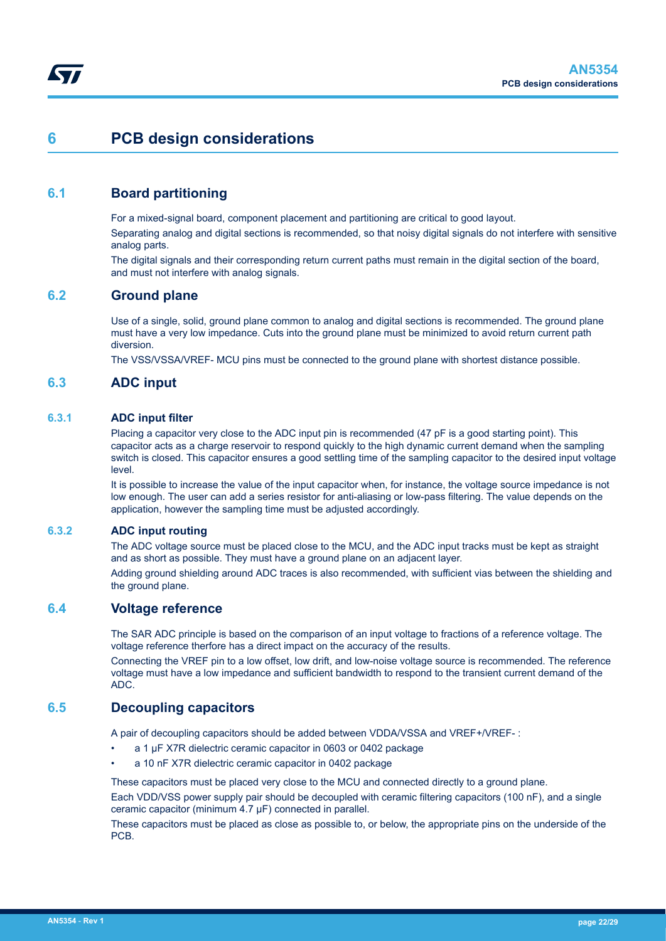## <span id="page-21-0"></span>**6 PCB design considerations**

## **6.1 Board partitioning**

For a mixed-signal board, component placement and partitioning are critical to good layout.

Separating analog and digital sections is recommended, so that noisy digital signals do not interfere with sensitive analog parts.

The digital signals and their corresponding return current paths must remain in the digital section of the board, and must not interfere with analog signals.

## **6.2 Ground plane**

Use of a single, solid, ground plane common to analog and digital sections is recommended. The ground plane must have a very low impedance. Cuts into the ground plane must be minimized to avoid return current path diversion.

The VSS/VSSA/VREF- MCU pins must be connected to the ground plane with shortest distance possible.

## **6.3 ADC input**

### **6.3.1 ADC input filter**

Placing a capacitor very close to the ADC input pin is recommended (47 pF is a good starting point). This capacitor acts as a charge reservoir to respond quickly to the high dynamic current demand when the sampling switch is closed. This capacitor ensures a good settling time of the sampling capacitor to the desired input voltage level.

It is possible to increase the value of the input capacitor when, for instance, the voltage source impedance is not low enough. The user can add a series resistor for anti-aliasing or low-pass filtering. The value depends on the application, however the sampling time must be adjusted accordingly.

### **6.3.2 ADC input routing**

The ADC voltage source must be placed close to the MCU, and the ADC input tracks must be kept as straight and as short as possible. They must have a ground plane on an adjacent layer.

Adding ground shielding around ADC traces is also recommended, with sufficient vias between the shielding and the ground plane.

## **6.4 Voltage reference**

The SAR ADC principle is based on the comparison of an input voltage to fractions of a reference voltage. The voltage reference therfore has a direct impact on the accuracy of the results.

Connecting the VREF pin to a low offset, low drift, and low-noise voltage source is recommended. The reference voltage must have a low impedance and sufficient bandwidth to respond to the transient current demand of the ADC.

## **6.5 Decoupling capacitors**

A pair of decoupling capacitors should be added between VDDA/VSSA and VREF+/VREF- :

- a 1 µF X7R dielectric ceramic capacitor in 0603 or 0402 package
- a 10 nF X7R dielectric ceramic capacitor in 0402 package

These capacitors must be placed very close to the MCU and connected directly to a ground plane.

Each VDD/VSS power supply pair should be decoupled with ceramic filtering capacitors (100 nF), and a single ceramic capacitor (minimum 4.7 μF) connected in parallel.

These capacitors must be placed as close as possible to, or below, the appropriate pins on the underside of the PCB.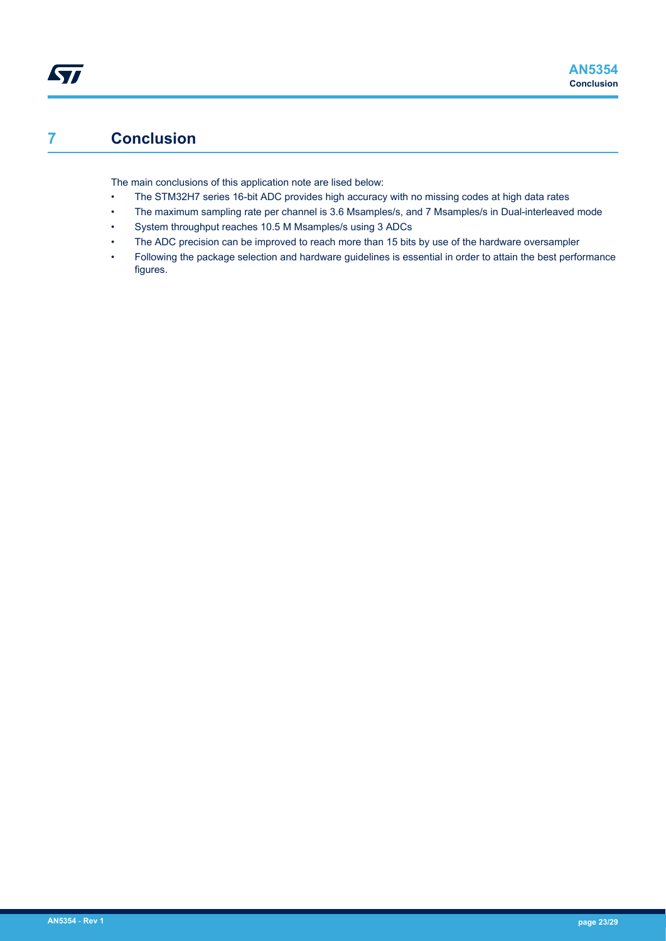## **7 Conclusion**

<span id="page-22-0"></span>ST

The main conclusions of this application note are lised below:

- The STM32H7 series 16-bit ADC provides high accuracy with no missing codes at high data rates
- The maximum sampling rate per channel is 3.6 Msamples/s, and 7 Msamples/s in Dual-interleaved mode
- System throughput reaches 10.5 M Msamples/s using 3 ADCs
- The ADC precision can be improved to reach more than 15 bits by use of the hardware oversampler
- Following the package selection and hardware guidelines is essential in order to attain the best performance figures.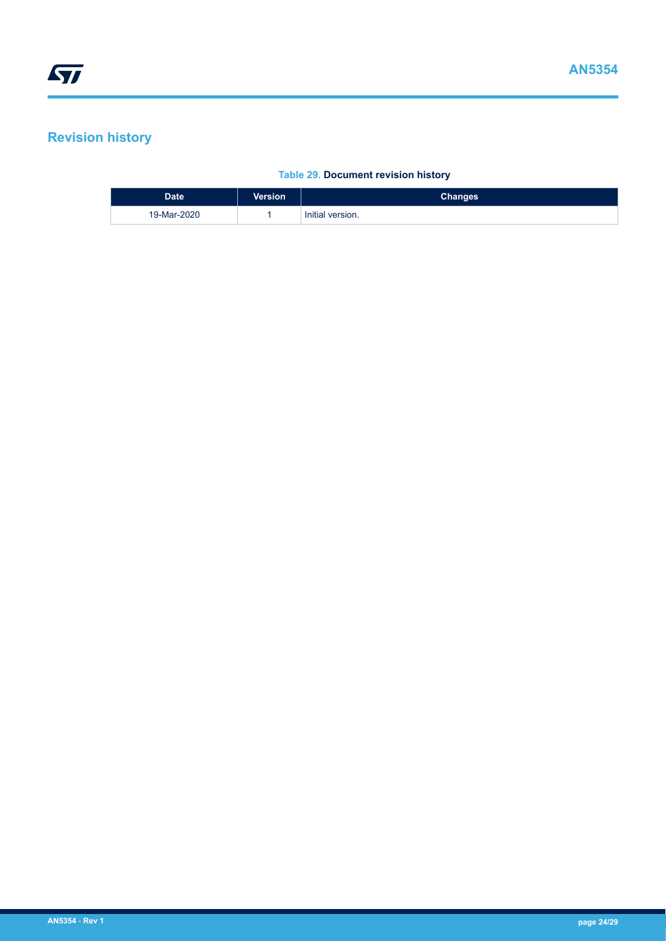## <span id="page-23-0"></span>**Revision history**

## **Table 29. Document revision history**

| <b>Date</b> | <b>Version</b> | <b>Changes</b>   |
|-------------|----------------|------------------|
| 19-Mar-2020 |                | Initial version. |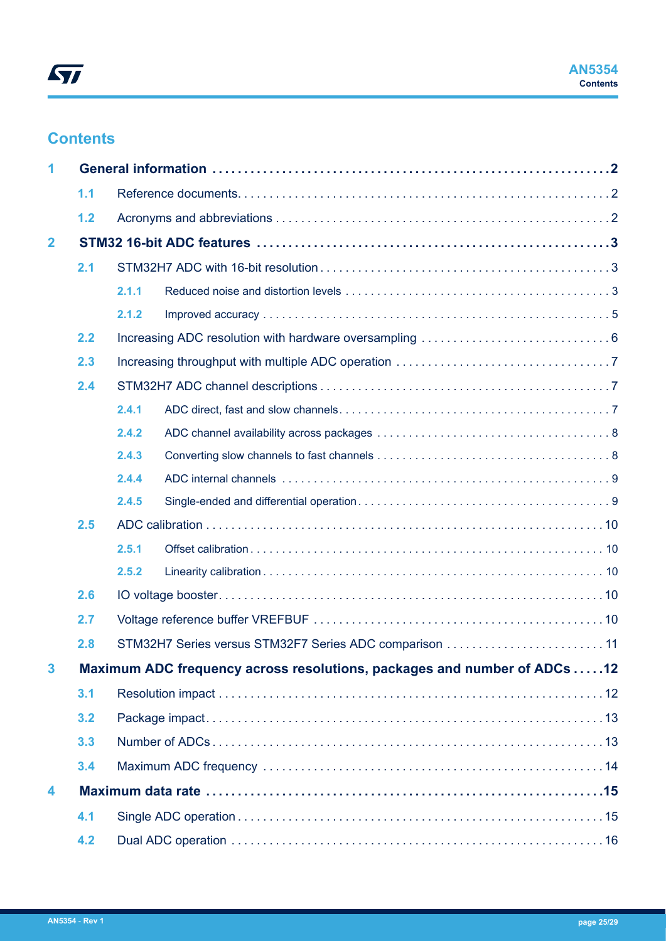## **Contents**

| 1                       |     |       |                                                                          |  |  |  |
|-------------------------|-----|-------|--------------------------------------------------------------------------|--|--|--|
|                         | 1.1 |       |                                                                          |  |  |  |
|                         | 1.2 |       |                                                                          |  |  |  |
| $\overline{\mathbf{2}}$ |     |       |                                                                          |  |  |  |
|                         | 2.1 |       |                                                                          |  |  |  |
|                         |     | 2.1.1 |                                                                          |  |  |  |
|                         |     | 2.1.2 |                                                                          |  |  |  |
|                         | 2.2 |       |                                                                          |  |  |  |
|                         | 2.3 |       |                                                                          |  |  |  |
|                         | 2.4 |       |                                                                          |  |  |  |
|                         |     | 2.4.1 |                                                                          |  |  |  |
|                         |     | 2.4.2 |                                                                          |  |  |  |
|                         |     | 2.4.3 |                                                                          |  |  |  |
|                         |     | 2.4.4 |                                                                          |  |  |  |
|                         |     | 2.4.5 |                                                                          |  |  |  |
|                         | 2.5 |       |                                                                          |  |  |  |
|                         |     | 2.5.1 |                                                                          |  |  |  |
|                         |     | 2.5.2 |                                                                          |  |  |  |
|                         | 2.6 |       |                                                                          |  |  |  |
|                         | 2.7 |       |                                                                          |  |  |  |
|                         | 2.8 |       | STM32H7 Series versus STM32F7 Series ADC comparison 11                   |  |  |  |
| 3                       |     |       | Maximum ADC frequency across resolutions, packages and number of ADCs 12 |  |  |  |
|                         | 3.1 |       |                                                                          |  |  |  |
|                         | 3.2 |       |                                                                          |  |  |  |
|                         | 3.3 |       |                                                                          |  |  |  |
|                         | 3.4 |       |                                                                          |  |  |  |
| 4                       |     |       |                                                                          |  |  |  |
|                         | 4.1 |       |                                                                          |  |  |  |
|                         | 4.2 |       |                                                                          |  |  |  |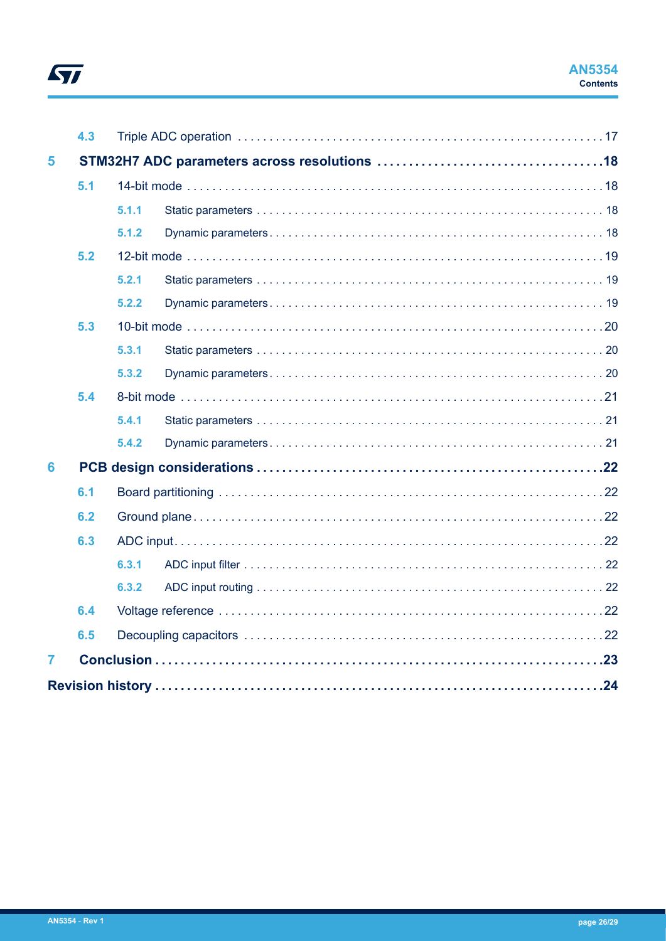# $\sqrt{2}$

|                | 4.3 |       |  |  |  |
|----------------|-----|-------|--|--|--|
| 5              |     |       |  |  |  |
|                | 5.1 |       |  |  |  |
|                |     |       |  |  |  |
|                |     | 5.1.1 |  |  |  |
|                |     | 5.1.2 |  |  |  |
|                | 5.2 |       |  |  |  |
|                |     | 5.2.1 |  |  |  |
|                |     | 5.2.2 |  |  |  |
|                | 5.3 |       |  |  |  |
|                |     | 5.3.1 |  |  |  |
|                |     | 5.3.2 |  |  |  |
|                | 5.4 |       |  |  |  |
|                |     | 5.4.1 |  |  |  |
|                |     | 5.4.2 |  |  |  |
| 6              |     |       |  |  |  |
|                | 6.1 |       |  |  |  |
|                | 6.2 |       |  |  |  |
|                | 6.3 |       |  |  |  |
|                |     | 6.3.1 |  |  |  |
|                |     | 6.3.2 |  |  |  |
|                | 6.4 |       |  |  |  |
|                | 6.5 |       |  |  |  |
| $\overline{7}$ |     |       |  |  |  |
|                |     |       |  |  |  |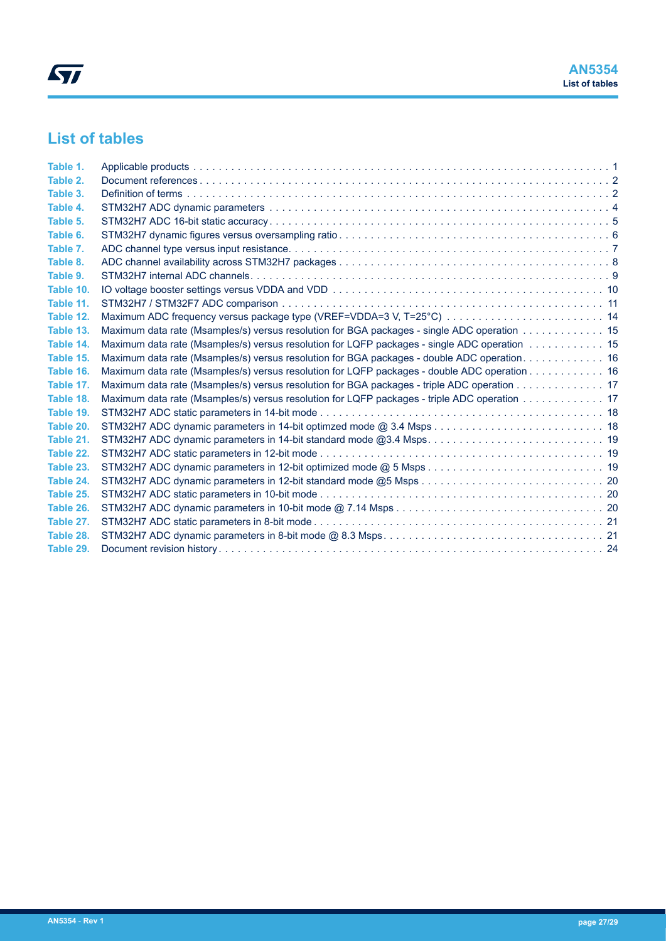## **List of tables**

| Table 1.  |                                                                                              |  |
|-----------|----------------------------------------------------------------------------------------------|--|
| Table 2.  |                                                                                              |  |
| Table 3.  |                                                                                              |  |
| Table 4.  |                                                                                              |  |
| Table 5.  |                                                                                              |  |
| Table 6.  |                                                                                              |  |
| Table 7.  |                                                                                              |  |
| Table 8.  |                                                                                              |  |
| Table 9.  |                                                                                              |  |
| Table 10. |                                                                                              |  |
| Table 11. |                                                                                              |  |
| Table 12. |                                                                                              |  |
| Table 13. | Maximum data rate (Msamples/s) versus resolution for BGA packages - single ADC operation 15  |  |
| Table 14. | Maximum data rate (Msamples/s) versus resolution for LQFP packages - single ADC operation 15 |  |
| Table 15. | Maximum data rate (Msamples/s) versus resolution for BGA packages - double ADC operation. 16 |  |
| Table 16. | Maximum data rate (Msamples/s) versus resolution for LQFP packages - double ADC operation 16 |  |
| Table 17. | Maximum data rate (Msamples/s) versus resolution for BGA packages - triple ADC operation 17  |  |
| Table 18. | Maximum data rate (Msamples/s) versus resolution for LQFP packages - triple ADC operation 17 |  |
| Table 19. |                                                                                              |  |
| Table 20. |                                                                                              |  |
| Table 21. |                                                                                              |  |
| Table 22. |                                                                                              |  |
| Table 23. |                                                                                              |  |
| Table 24. |                                                                                              |  |
| Table 25. |                                                                                              |  |
| Table 26. |                                                                                              |  |
| Table 27. |                                                                                              |  |
| Table 28. |                                                                                              |  |
| Table 29. |                                                                                              |  |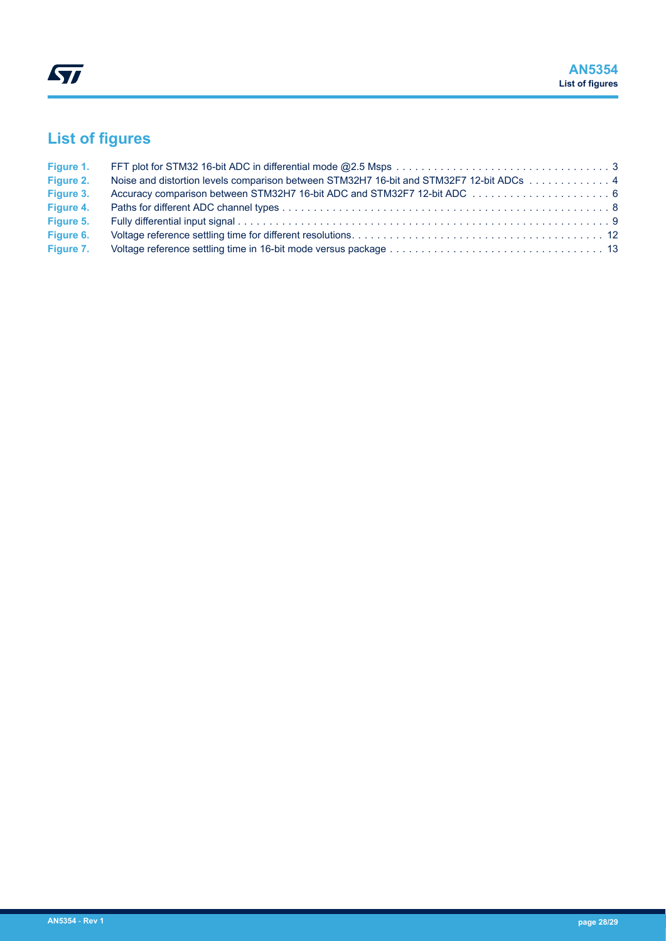## **List of figures**

| Figure 1. |                                                                                         |  |
|-----------|-----------------------------------------------------------------------------------------|--|
| Figure 2. | Noise and distortion levels comparison between STM32H7 16-bit and STM32F7 12-bit ADCs 4 |  |
| Figure 3. |                                                                                         |  |
| Figure 4. |                                                                                         |  |
| Figure 5. |                                                                                         |  |
| Figure 6. |                                                                                         |  |
| Figure 7. |                                                                                         |  |